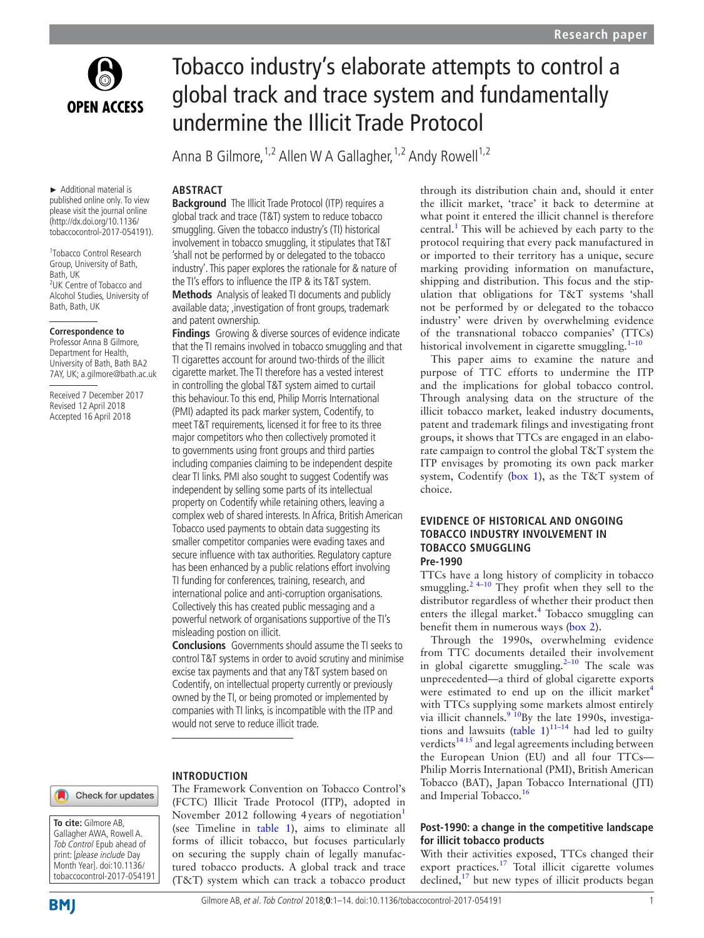

► Additional material is published online only. To view please visit the journal online (http://dx.doi.org/10.1136/ tobaccocontrol-2017-054191).

1 Tobacco Control Research Group, University of Bath, Bath, UK <sup>2</sup>UK Centre of Tobacco and Alcohol Studies, University of Bath, Bath, UK

## **Correspondence to**

Professor Anna B Gilmore, Department for Health, University of Bath, Bath BA2 7AY, UK; a.gilmore@bath.ac.uk

Received 7 December 2017 Revised 12 April 2018 Accepted 16 April 2018

# Tobacco industry's elaborate attempts to control a global track and trace system and fundamentally undermine the Illicit Trade Protocol

Anna B Gilmore, <sup>1,2</sup> Allen W A Gallagher, <sup>1,2</sup> Andy Rowell<sup>1,2</sup>

# **Abstract**

**Background** The Illicit Trade Protocol (ITP) requires a global track and trace (T&T) system to reduce tobacco smuggling. Given the tobacco industry's (TI) historical involvement in tobacco smuggling, it stipulates that T&T 'shall not be performed by or delegated to the tobacco industry'. This paper explores the rationale for & nature of the TI's effors to influence the ITP & its T&T system. **Methods** Analysis of leaked TI documents and publicly available data; ,investigation of front groups, trademark and patent ownership.

**Findings** Growing & diverse sources of evidence indicate that the TI remains involved in tobacco smuggling and that TI cigarettes account for around two-thirds of the illicit cigarette market. The TI therefore has a vested interest in controlling the global T&T system aimed to curtail this behaviour. To this end, Philip Morris International (PMI) adapted its pack marker system, Codentify, to meet T&T requirements, licensed it for free to its three major competitors who then collectively promoted it to governments using front groups and third parties including companies claiming to be independent despite clear TI links. PMI also sought to suggest Codentify was independent by selling some parts of its intellectual property on Codentify while retaining others, leaving a complex web of shared interests. In Africa, British American Tobacco used payments to obtain data suggesting its smaller competitor companies were evading taxes and secure influence with tax authorities. Regulatory capture has been enhanced by a public relations effort involving TI funding for conferences, training, research, and international police and anti-corruption organisations. Collectively this has created public messaging and a powerful network of organisations supportive of the TI's misleading postion on illicit.

**Conclusions** Governments should assume the TI seeks to control T&T systems in order to avoid scrutiny and minimise excise tax payments and that any T&T system based on Codentify, on intellectual property currently or previously owned by the TI, or being promoted or implemented by companies with TI links, is incompatible with the ITP and would not serve to reduce illicit trade.

#### **Introduction**

# Check for updates



The Framework Convention on Tobacco Control's (FCTC) Illicit Trade Protocol (ITP), adopted in November 20[1](#page-9-0)2 following 4years of negotiation<sup>1</sup> (see Timeline in [table](#page-1-0) 1), aims to eliminate all forms of illicit tobacco, but focuses particularly on securing the supply chain of legally manufactured tobacco products. A global track and trace (T&T) system which can track a tobacco product through its distribution chain and, should it enter the illicit market, 'trace' it back to determine at what point it entered the illicit channel is therefore central.<sup>[1](#page-9-0)</sup> This will be achieved by each party to the protocol requiring that every pack manufactured in or imported to their territory has a unique, secure marking providing information on manufacture, shipping and distribution. This focus and the stipulation that obligations for T&T systems 'shall not be performed by or delegated to the tobacco industry' were driven by overwhelming evidence of the transnational tobacco companies' (TTCs) historical involvement in cigarette smuggling.<sup>1-10</sup>

This paper aims to examine the nature and purpose of TTC efforts to undermine the ITP and the implications for global tobacco control. Through analysing data on the structure of the illicit tobacco market, leaked industry documents, patent and trademark filings and investigating front groups, it shows that TTCs are engaged in an elaborate campaign to control the global T&T system the ITP envisages by promoting its own pack marker system, Codentify ([box](#page-3-0) 1), as the T&T system of choice.

# **Evidence of historical and ongoing tobacco industry involvement in tobacco smuggling Pre-1990**

TTCs have a long history of complicity in tobacco smuggling.<sup>2 4–10</sup> They profit when they sell to the distributor regardless of whether their product then enters the illegal market.<sup>[4](#page-9-2)</sup> Tobacco smuggling can benefit them in numerous ways ([box](#page-3-1) 2).

Through the 1990s, overwhelming evidence from TTC documents detailed their involvement in global cigarette smuggling. $2-10$  The scale was unprecedented—a third of global cigarette exports were estimated to end up on the illicit market<sup>[4](#page-9-2)</sup> with TTCs supplying some markets almost entirely via illicit channels.<sup>[9 10](#page-9-3)</sup>By the late 1990s, investiga-tions and lawsuits [\(table](#page-1-0)  $1$ )<sup>11-14</sup> had led to guilty verdicts<sup>[14 15](#page-9-5)</sup> and legal agreements including between the European Union (EU) and all four TTCs— Philip Morris International (PMI), British American Tobacco (BAT), Japan Tobacco International (JTI) and Imperial Tobacco.<sup>[16](#page-9-6)</sup>

# **Post-1990: a change in the competitive landscape for illicit tobacco products**

With their activities exposed, TTCs changed their export practices.<sup>[17](#page-9-7)</sup> Total illicit cigarette volumes declined, $17$  but new types of illicit products began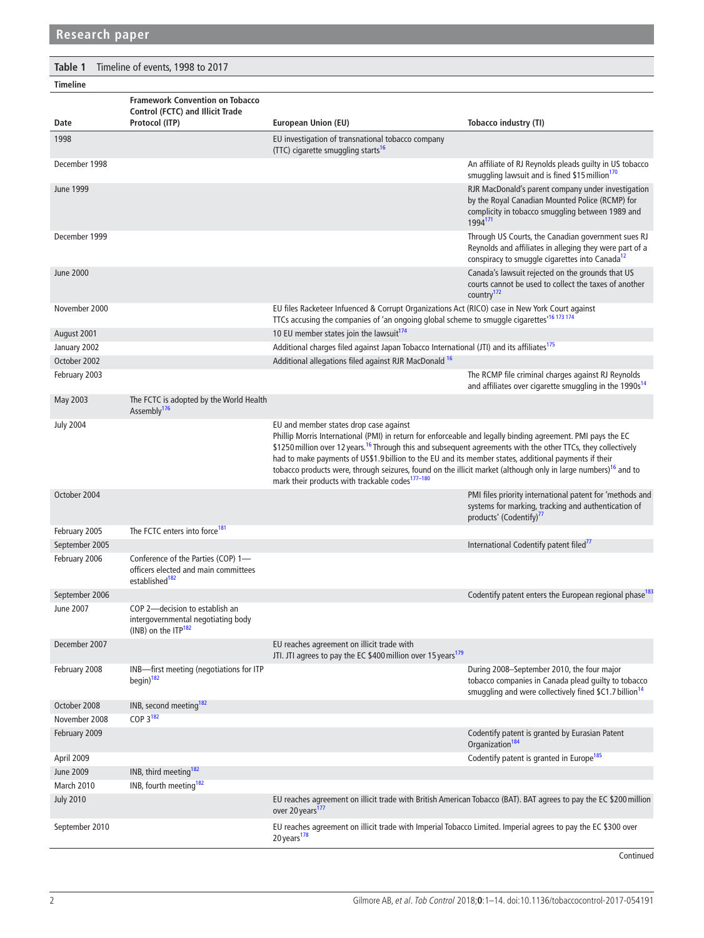<span id="page-1-0"></span>

| Table 1<br>Timeline of events, 1998 to 2017 |                                                                                                          |                                                                                                                                                                                                                                                                                                                                                                                                                                                                                                                                                                                          |                                                                                                                                                                             |  |  |  |  |
|---------------------------------------------|----------------------------------------------------------------------------------------------------------|------------------------------------------------------------------------------------------------------------------------------------------------------------------------------------------------------------------------------------------------------------------------------------------------------------------------------------------------------------------------------------------------------------------------------------------------------------------------------------------------------------------------------------------------------------------------------------------|-----------------------------------------------------------------------------------------------------------------------------------------------------------------------------|--|--|--|--|
| <b>Timeline</b>                             |                                                                                                          |                                                                                                                                                                                                                                                                                                                                                                                                                                                                                                                                                                                          |                                                                                                                                                                             |  |  |  |  |
| Date                                        | <b>Framework Convention on Tobacco</b><br>Control (FCTC) and Illicit Trade<br>Protocol (ITP)             | European Union (EU)                                                                                                                                                                                                                                                                                                                                                                                                                                                                                                                                                                      | Tobacco industry (TI)                                                                                                                                                       |  |  |  |  |
| 1998                                        |                                                                                                          | EU investigation of transnational tobacco company<br>(TTC) cigarette smuggling starts <sup>16</sup>                                                                                                                                                                                                                                                                                                                                                                                                                                                                                      |                                                                                                                                                                             |  |  |  |  |
| December 1998                               |                                                                                                          |                                                                                                                                                                                                                                                                                                                                                                                                                                                                                                                                                                                          | An affiliate of RJ Reynolds pleads guilty in US tobacco<br>smuggling lawsuit and is fined \$15 million <sup>170</sup>                                                       |  |  |  |  |
| <b>June 1999</b>                            |                                                                                                          |                                                                                                                                                                                                                                                                                                                                                                                                                                                                                                                                                                                          | RJR MacDonald's parent company under investigation<br>by the Royal Canadian Mounted Police (RCMP) for<br>complicity in tobacco smuggling between 1989 and<br>1994171        |  |  |  |  |
| December 1999                               |                                                                                                          |                                                                                                                                                                                                                                                                                                                                                                                                                                                                                                                                                                                          | Through US Courts, the Canadian government sues RJ<br>Reynolds and affiliates in alleging they were part of a<br>conspiracy to smuggle cigarettes into Canada <sup>12</sup> |  |  |  |  |
| <b>June 2000</b>                            |                                                                                                          |                                                                                                                                                                                                                                                                                                                                                                                                                                                                                                                                                                                          | Canada's lawsuit rejected on the grounds that US<br>courts cannot be used to collect the taxes of another<br>country <sup>172</sup>                                         |  |  |  |  |
| November 2000                               |                                                                                                          | EU files Racketeer Infuenced & Corrupt Organizations Act (RICO) case in New York Court against<br>TTCs accusing the companies of 'an ongoing global scheme to smuggle cigarettes <sup>'16173174</sup>                                                                                                                                                                                                                                                                                                                                                                                    |                                                                                                                                                                             |  |  |  |  |
| August 2001                                 |                                                                                                          | 10 EU member states join the lawsuit <sup>174</sup>                                                                                                                                                                                                                                                                                                                                                                                                                                                                                                                                      |                                                                                                                                                                             |  |  |  |  |
| January 2002                                |                                                                                                          | Additional charges filed against Japan Tobacco International (JTI) and its affiliates <sup>175</sup>                                                                                                                                                                                                                                                                                                                                                                                                                                                                                     |                                                                                                                                                                             |  |  |  |  |
| October 2002                                |                                                                                                          | Additional allegations filed against RJR MacDonald <sup>16</sup>                                                                                                                                                                                                                                                                                                                                                                                                                                                                                                                         |                                                                                                                                                                             |  |  |  |  |
| February 2003                               |                                                                                                          |                                                                                                                                                                                                                                                                                                                                                                                                                                                                                                                                                                                          | The RCMP file criminal charges against RJ Reynolds<br>and affiliates over cigarette smuggling in the 1990s <sup>14</sup>                                                    |  |  |  |  |
| May 2003                                    | The FCTC is adopted by the World Health<br>Assembly <sup>176</sup>                                       |                                                                                                                                                                                                                                                                                                                                                                                                                                                                                                                                                                                          |                                                                                                                                                                             |  |  |  |  |
| <b>July 2004</b>                            |                                                                                                          | EU and member states drop case against<br>Phillip Morris International (PMI) in return for enforceable and legally binding agreement. PMI pays the EC<br>\$1250 million over 12 years. <sup>16</sup> Through this and subsequent agreements with the other TTCs, they collectively<br>had to make payments of US\$1.9 billion to the EU and its member states, additional payments if their<br>tobacco products were, through seizures, found on the illicit market (although only in large numbers) <sup>16</sup> and to<br>mark their products with trackable codes <sup>177-180</sup> |                                                                                                                                                                             |  |  |  |  |
| October 2004                                |                                                                                                          |                                                                                                                                                                                                                                                                                                                                                                                                                                                                                                                                                                                          | PMI files priority international patent for 'methods and<br>systems for marking, tracking and authentication of<br>products' (Codentify) <sup>77</sup>                      |  |  |  |  |
| February 2005                               | The FCTC enters into force <sup>181</sup>                                                                |                                                                                                                                                                                                                                                                                                                                                                                                                                                                                                                                                                                          |                                                                                                                                                                             |  |  |  |  |
| September 2005                              |                                                                                                          |                                                                                                                                                                                                                                                                                                                                                                                                                                                                                                                                                                                          | International Codentify patent filed <sup>77</sup>                                                                                                                          |  |  |  |  |
| February 2006                               | Conference of the Parties (COP) 1-<br>officers elected and main committees<br>established <sup>182</sup> |                                                                                                                                                                                                                                                                                                                                                                                                                                                                                                                                                                                          |                                                                                                                                                                             |  |  |  |  |
| September 2006                              |                                                                                                          |                                                                                                                                                                                                                                                                                                                                                                                                                                                                                                                                                                                          | Codentify patent enters the European regional phase <sup>183</sup>                                                                                                          |  |  |  |  |
| June 2007                                   | COP 2-decision to establish an<br>intergovernmental negotiating body<br>(INB) on the ITP $182$           |                                                                                                                                                                                                                                                                                                                                                                                                                                                                                                                                                                                          |                                                                                                                                                                             |  |  |  |  |
| December 2007                               |                                                                                                          | EU reaches agreement on illicit trade with<br>JTI. JTI agrees to pay the EC \$400 million over 15 years <sup>179</sup>                                                                                                                                                                                                                                                                                                                                                                                                                                                                   |                                                                                                                                                                             |  |  |  |  |
| February 2008                               | INB-first meeting (negotiations for ITP<br>$begin)$ <sup>182</sup>                                       |                                                                                                                                                                                                                                                                                                                                                                                                                                                                                                                                                                                          | During 2008-September 2010, the four major<br>tobacco companies in Canada plead guilty to tobacco<br>smuggling and were collectively fined \$C1.7 billion <sup>14</sup>     |  |  |  |  |
| October 2008                                | INB, second meeting <sup>182</sup>                                                                       |                                                                                                                                                                                                                                                                                                                                                                                                                                                                                                                                                                                          |                                                                                                                                                                             |  |  |  |  |
| November 2008                               | COP $3^{182}$                                                                                            |                                                                                                                                                                                                                                                                                                                                                                                                                                                                                                                                                                                          |                                                                                                                                                                             |  |  |  |  |
| February 2009                               |                                                                                                          |                                                                                                                                                                                                                                                                                                                                                                                                                                                                                                                                                                                          | Codentify patent is granted by Eurasian Patent<br>Organization <sup>184</sup>                                                                                               |  |  |  |  |
| April 2009                                  |                                                                                                          |                                                                                                                                                                                                                                                                                                                                                                                                                                                                                                                                                                                          | Codentify patent is granted in Europe <sup>185</sup>                                                                                                                        |  |  |  |  |
| <b>June 2009</b>                            | INB, third meeting <sup>182</sup>                                                                        |                                                                                                                                                                                                                                                                                                                                                                                                                                                                                                                                                                                          |                                                                                                                                                                             |  |  |  |  |
| March 2010                                  | INB, fourth meeting <sup>182</sup>                                                                       |                                                                                                                                                                                                                                                                                                                                                                                                                                                                                                                                                                                          |                                                                                                                                                                             |  |  |  |  |
| <b>July 2010</b>                            |                                                                                                          | EU reaches agreement on illicit trade with British American Tobacco (BAT). BAT agrees to pay the EC \$200 million<br>over 20 years <sup>177</sup>                                                                                                                                                                                                                                                                                                                                                                                                                                        |                                                                                                                                                                             |  |  |  |  |
| September 2010                              |                                                                                                          | EU reaches agreement on illicit trade with Imperial Tobacco Limited. Imperial agrees to pay the EC \$300 over<br>20 years <sup>178</sup>                                                                                                                                                                                                                                                                                                                                                                                                                                                 |                                                                                                                                                                             |  |  |  |  |

Continued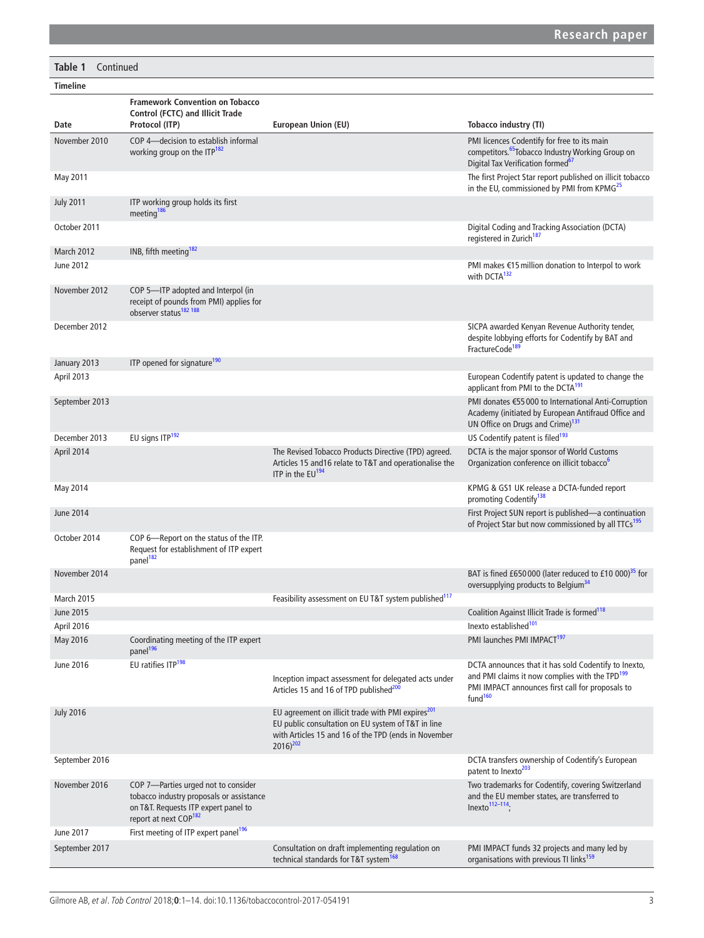# **Table 1** Continued

| <b>Timeline</b>   |                                                                                                                                                              |                                                                                                                                                                                              |                                                                                                                                                                                               |
|-------------------|--------------------------------------------------------------------------------------------------------------------------------------------------------------|----------------------------------------------------------------------------------------------------------------------------------------------------------------------------------------------|-----------------------------------------------------------------------------------------------------------------------------------------------------------------------------------------------|
| Date              | <b>Framework Convention on Tobacco</b><br><b>Control (FCTC) and Illicit Trade</b><br>Protocol (ITP)                                                          | European Union (EU)                                                                                                                                                                          | Tobacco industry (TI)                                                                                                                                                                         |
| November 2010     | COP 4-decision to establish informal<br>working group on the ITP <sup>182</sup>                                                                              |                                                                                                                                                                                              | PMI licences Codentify for free to its main<br>competitors. <sup>65</sup> Tobacco Industry Working Group on<br>Digital Tax Verification formed <sup>67</sup>                                  |
| May 2011          |                                                                                                                                                              |                                                                                                                                                                                              | The first Project Star report published on illicit tobacco<br>in the EU, commissioned by PMI from KPMG <sup>25</sup>                                                                          |
| <b>July 2011</b>  | ITP working group holds its first<br>meeting <sup>186</sup>                                                                                                  |                                                                                                                                                                                              |                                                                                                                                                                                               |
| October 2011      |                                                                                                                                                              |                                                                                                                                                                                              | Digital Coding and Tracking Association (DCTA)<br>registered in Zurich <sup>187</sup>                                                                                                         |
| March 2012        | INB, fifth meeting <sup>182</sup>                                                                                                                            |                                                                                                                                                                                              |                                                                                                                                                                                               |
| June 2012         |                                                                                                                                                              |                                                                                                                                                                                              | PMI makes €15 million donation to Interpol to work<br>with DCTA <sup>132</sup>                                                                                                                |
| November 2012     | COP 5-ITP adopted and Interpol (in<br>receipt of pounds from PMI) applies for<br>observer status <sup>182</sup> 188                                          |                                                                                                                                                                                              |                                                                                                                                                                                               |
| December 2012     |                                                                                                                                                              |                                                                                                                                                                                              | SICPA awarded Kenyan Revenue Authority tender,<br>despite lobbying efforts for Codentify by BAT and<br>FractureCode <sup>189</sup>                                                            |
| January 2013      | ITP opened for signature <sup>190</sup>                                                                                                                      |                                                                                                                                                                                              |                                                                                                                                                                                               |
| April 2013        |                                                                                                                                                              |                                                                                                                                                                                              | European Codentify patent is updated to change the<br>applicant from PMI to the DCTA <sup>191</sup>                                                                                           |
| September 2013    |                                                                                                                                                              |                                                                                                                                                                                              | PMI donates €55 000 to International Anti-Corruption<br>Academy (initiated by European Antifraud Office and<br>UN Office on Drugs and Crime) <sup>131</sup>                                   |
| December 2013     | EU signs ITP <sup>192</sup>                                                                                                                                  |                                                                                                                                                                                              | US Codentify patent is filed <sup>193</sup>                                                                                                                                                   |
| April 2014        |                                                                                                                                                              | The Revised Tobacco Products Directive (TPD) agreed.<br>Articles 15 and 16 relate to T&T and operationalise the<br>ITP in the EU <sup>194</sup>                                              | DCTA is the major sponsor of World Customs<br>Organization conference on illicit tobacco <sup>6</sup>                                                                                         |
| May 2014          |                                                                                                                                                              |                                                                                                                                                                                              | KPMG & GS1 UK release a DCTA-funded report<br>promoting Codentify <sup>138</sup>                                                                                                              |
| <b>June 2014</b>  |                                                                                                                                                              |                                                                                                                                                                                              | First Project SUN report is published-a continuation<br>of Project Star but now commissioned by all TTCs <sup>195</sup>                                                                       |
| October 2014      | COP 6-Report on the status of the ITP.<br>Request for establishment of ITP expert<br>panel <sup>182</sup>                                                    |                                                                                                                                                                                              |                                                                                                                                                                                               |
| November 2014     |                                                                                                                                                              |                                                                                                                                                                                              | BAT is fined £650 000 (later reduced to £10 000) <sup>35</sup> for<br>oversupplying products to Belgium <sup>34</sup>                                                                         |
| <b>March 2015</b> |                                                                                                                                                              | Feasibility assessment on EU T&T system published <sup>117</sup>                                                                                                                             |                                                                                                                                                                                               |
| June 2015         |                                                                                                                                                              |                                                                                                                                                                                              | Coalition Against Illicit Trade is formed <sup>118</sup>                                                                                                                                      |
| April 2016        |                                                                                                                                                              |                                                                                                                                                                                              | Inexto established <sup>101</sup>                                                                                                                                                             |
| May 2016          | Coordinating meeting of the ITP expert<br>panel <sup>196</sup>                                                                                               |                                                                                                                                                                                              | PMI launches PMI IMPACT <sup>197</sup>                                                                                                                                                        |
| June 2016         | EU ratifies ITP <sup>198</sup>                                                                                                                               | Inception impact assessment for delegated acts under<br>Articles 15 and 16 of TPD published <sup>200</sup>                                                                                   | DCTA announces that it has sold Codentify to Inexto,<br>and PMI claims it now complies with the TPD <sup>199</sup><br>PMI IMPACT announces first call for proposals to<br>fund <sup>160</sup> |
| <b>July 2016</b>  |                                                                                                                                                              | EU agreement on illicit trade with PMI expires <sup>201</sup><br>EU public consultation on EU system of T&T in line<br>with Articles 15 and 16 of the TPD (ends in November<br>$2016)^{202}$ |                                                                                                                                                                                               |
| September 2016    |                                                                                                                                                              |                                                                                                                                                                                              | DCTA transfers ownership of Codentify's European<br>patent to Inexto <sup>203</sup>                                                                                                           |
| November 2016     | COP 7-Parties urged not to consider<br>tobacco industry proposals or assistance<br>on T&T. Requests ITP expert panel to<br>report at next COP <sup>182</sup> |                                                                                                                                                                                              | Two trademarks for Codentify, covering Switzerland<br>and the EU member states, are transferred to<br>$Inexto112-114$ ;                                                                       |
| June 2017         | First meeting of ITP expert panel <sup>196</sup>                                                                                                             |                                                                                                                                                                                              |                                                                                                                                                                                               |
| September 2017    |                                                                                                                                                              | Consultation on draft implementing regulation on<br>technical standards for T&T system <sup>168</sup>                                                                                        | PMI IMPACT funds 32 projects and many led by<br>organisations with previous TI links <sup>159</sup>                                                                                           |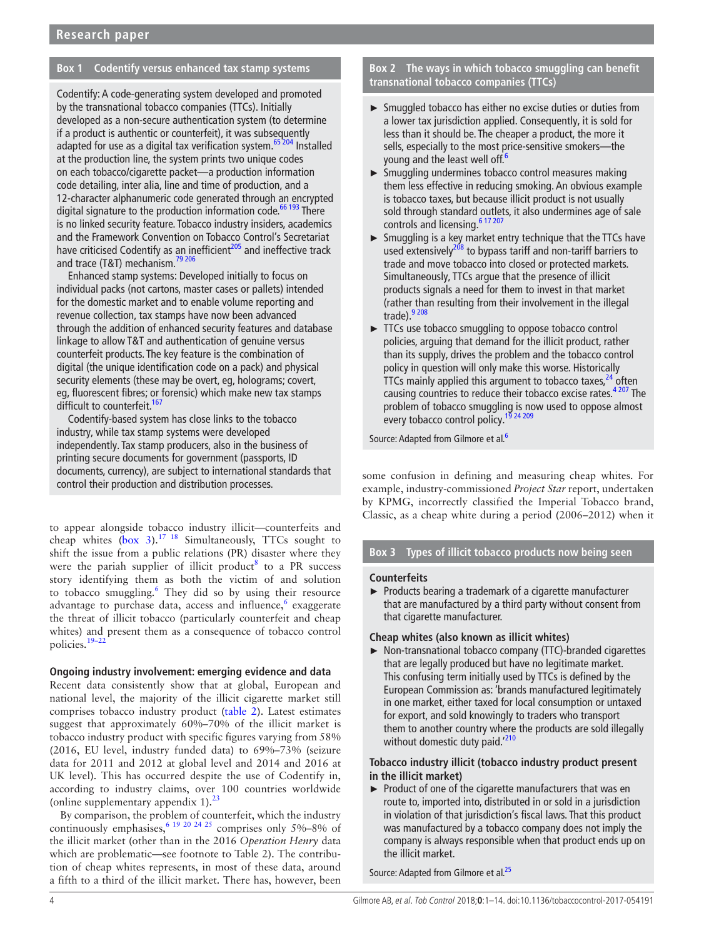# **Box 1 Codentify versus enhanced tax stamp systems**

<span id="page-3-0"></span>Codentify: A code-generating system developed and promoted by the transnational tobacco companies (TTCs). Initially developed as a non-secure authentication system (to determine if a product is authentic or counterfeit), it was subsequently adapted for use as a digital tax verification system.<sup>[65 204](#page-10-1)</sup> Installed at the production line, the system prints two unique codes on each tobacco/cigarette packet—a production information code detailing, inter alia, line and time of production, and a 12-character alphanumeric code generated through an encrypted digital signature to the production information code.<sup>66 193</sup> There is no linked security feature. Tobacco industry insiders, academics and the Framework Convention on Tobacco Control's Secretariat have criticised Codentify as an inefficient $205$  and ineffective track and trace (T&T) mechanism.<sup>[79 206](#page-10-6)</sup>

Enhanced stamp systems: Developed initially to focus on individual packs (not cartons, master cases or pallets) intended for the domestic market and to enable volume reporting and revenue collection, tax stamps have now been advanced through the addition of enhanced security features and database linkage to allow T&T and authentication of genuine versus counterfeit products. The key feature is the combination of digital (the unique identification code on a pack) and physical security elements (these may be overt, eg, holograms; covert, eg, fluorescent fibres; or forensic) which make new tax stamps difficult to counterfeit.<sup>[167](#page-12-33)</sup>

Codentify-based system has close links to the tobacco industry, while tax stamp systems were developed independently. Tax stamp producers, also in the business of printing secure documents for government (passports, ID documents, currency), are subject to international standards that control their production and distribution processes.

to appear alongside tobacco industry illicit—counterfeits and cheap whites  $(box 3)$  $(box 3)$ .<sup>17 18</sup> Simultaneously, TTCs sought to shift the issue from a public relations (PR) disaster where they were the pariah supplier of illicit product<sup>[8](#page-9-11)</sup> to a PR success story identifying them as both the victim of and solution to tobacco smuggling.<sup>[6](#page-9-10)</sup> They did so by using their resource advantage to purchase data, access and influence,<sup>6</sup> exaggerate the threat of illicit tobacco (particularly counterfeit and cheap whites) and present them as a consequence of tobacco control policies.<sup>19-2</sup>

#### **Ongoing industry involvement: emerging evidence and data**

Recent data consistently show that at global, European and national level, the majority of the illicit cigarette market still comprises tobacco industry product [\(table](#page-4-0) 2). Latest estimates suggest that approximately 60%–70% of the illicit market is tobacco industry product with specific figures varying from 58% (2016, EU level, industry funded data) to 69%–73% (seizure data for 2011 and 2012 at global level and 2014 and 2016 at UK level). This has occurred despite the use of Codentify in, according to industry claims, over 100 countries worldwide (online [supplementary appendix 1](https://dx.doi.org/10.1136/tobaccocontrol-2017-054191)). $^{23}$  $^{23}$  $^{23}$ 

By comparison, the problem of counterfeit, which the industry continuously emphasises,  $6^{19}$  20 24 25 comprises only 5%–8% of the illicit market (other than in the 2016 *Operation Henry* data which are problematic—see footnote to Table 2). The contribution of cheap whites represents, in most of these data, around a fifth to a third of the illicit market. There has, however, been

**Box 2 The ways in which tobacco smuggling can benefit transnational tobacco companies (TTCs)**

- <span id="page-3-1"></span>► Smuggled tobacco has either no excise duties or duties from a lower tax jurisdiction applied. Consequently, it is sold for less than it should be. The cheaper a product, the more it sells, especially to the most price-sensitive smokers—the young and the least well off.<sup>6</sup>
- ► Smuggling undermines tobacco control measures making them less effective in reducing smoking. An obvious example is tobacco taxes, but because illicit product is not usually sold through standard outlets, it also undermines age of sale controls and licensing.<sup>6 17 207</sup>
- ► Smuggling is a key market entry technique that the TTCs have used extensively<sup>208</sup> to bypass tariff and non-tariff barriers to trade and move tobacco into closed or protected markets. Simultaneously, TTCs argue that the presence of illicit products signals a need for them to invest in that market (rather than resulting from their involvement in the illegal trade). $9208$
- ► TTCs use tobacco smuggling to oppose tobacco control policies, arguing that demand for the illicit product, rather than its supply, drives the problem and the tobacco control policy in question will only make this worse. Historically TTCs mainly applied this argument to tobacco taxes,  $24$  often causing countries to reduce their tobacco excise rates.<sup>4207</sup> The problem of tobacco smuggling is now used to oppose almost every tobacco control policy.<sup>[19 24 209](#page-9-12)</sup>

Source: Adapted from Gilmore et al.<sup>6</sup>

some confusion in defining and measuring cheap whites. For example, industry-commissioned *Project Star* report, undertaken by KPMG, incorrectly classified the Imperial Tobacco brand, Classic, as a cheap white during a period (2006–2012) when it

# **Box 3 Types of illicit tobacco products now being seen**

#### <span id="page-3-2"></span>**Counterfeits**

► Products bearing a trademark of a cigarette manufacturer that are manufactured by a third party without consent from that cigarette manufacturer.

#### **Cheap whites (also known as illicit whites)**

► Non-transnational tobacco company (TTC)-branded cigarettes that are legally produced but have no legitimate market. This confusing term initially used by TTCs is defined by the European Commission as: 'brands manufactured legitimately in one market, either taxed for local consumption or untaxed for export, and sold knowingly to traders who transport them to another country where the products are sold illegally without domestic duty paid.<sup>'[210](#page-13-3)</sup>

#### **Tobacco industry illicit (tobacco industry product present in the illicit market)**

► Product of one of the cigarette manufacturers that was en route to, imported into, distributed in or sold in a jurisdiction in violation of that jurisdiction's fiscal laws. That this product was manufactured by a tobacco company does not imply the company is always responsible when that product ends up on the illicit market.

Source: Adapted from Gilmore et al.<sup>25</sup>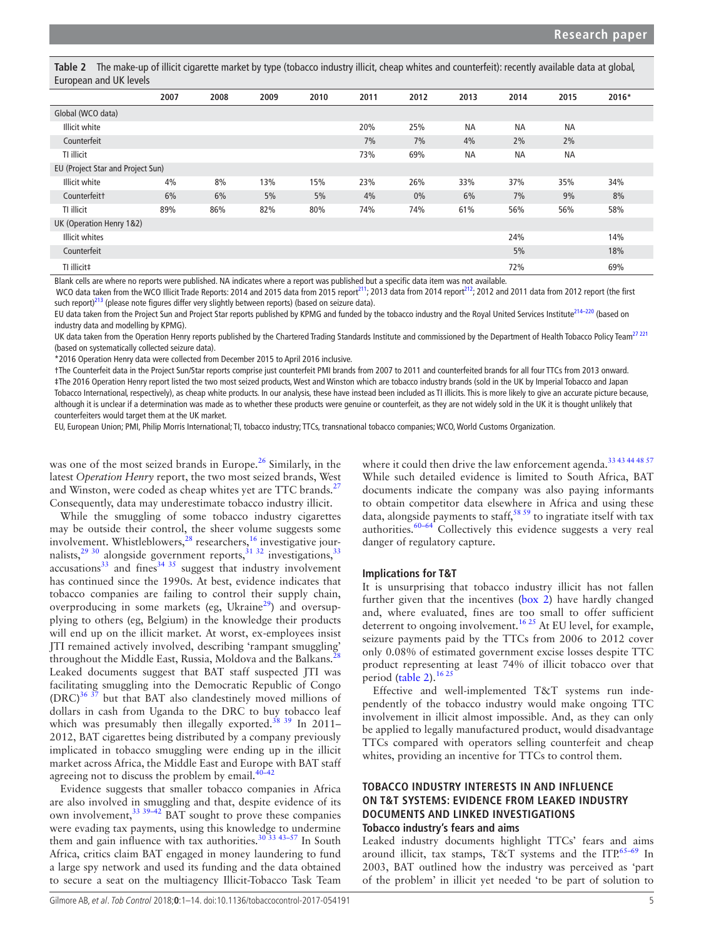<span id="page-4-0"></span>**Table 2** The make-up of illicit cigarette market by type (tobacco industry illicit, cheap whites and counterfeit): recently available data at global, European and UK levels

|                                   | 2007 | 2008 | 2009 | 2010 | 2011 | 2012  | 2013      | 2014      | 2015      | 2016* |  |
|-----------------------------------|------|------|------|------|------|-------|-----------|-----------|-----------|-------|--|
| Global (WCO data)                 |      |      |      |      |      |       |           |           |           |       |  |
| <b>Illicit white</b>              |      |      |      |      | 20%  | 25%   | <b>NA</b> | <b>NA</b> | <b>NA</b> |       |  |
| Counterfeit                       |      |      |      |      | 7%   | 7%    | 4%        | 2%        | 2%        |       |  |
| TI illicit                        |      |      |      |      | 73%  | 69%   | <b>NA</b> | <b>NA</b> | <b>NA</b> |       |  |
| EU (Project Star and Project Sun) |      |      |      |      |      |       |           |           |           |       |  |
| Illicit white                     | 4%   | 8%   | 13%  | 15%  | 23%  | 26%   | 33%       | 37%       | 35%       | 34%   |  |
| Counterfeit <sup>+</sup>          | 6%   | 6%   | 5%   | 5%   | 4%   | $0\%$ | 6%        | 7%        | 9%        | 8%    |  |
| TI illicit                        | 89%  | 86%  | 82%  | 80%  | 74%  | 74%   | 61%       | 56%       | 56%       | 58%   |  |
| UK (Operation Henry 1&2)          |      |      |      |      |      |       |           |           |           |       |  |
| <b>Illicit whites</b>             |      |      |      |      |      |       |           | 24%       |           | 14%   |  |
| Counterfeit                       |      |      |      |      |      |       |           | 5%        |           | 18%   |  |
| TI illicit‡                       |      |      |      |      |      |       |           | 72%       |           | 69%   |  |

Blank cells are where no reports were published. NA indicates where a report was published but a specific data item was not available.

WCO data taken from the WCO Illicit Trade Reports: 2014 and 2015 data from 2015 report<sup>211</sup>; 2013 data from 2014 report<sup>212</sup>; 2012 and 2011 data from 2012 report (the first such report)<sup>213</sup> (please note figures differ very slightly between reports) (based on seizure data).

EU data taken from the Project Sun and Project Star reports published by KPMG and funded by the tobacco industry and the Royal United Services Institute<sup>214–220</sup> (based on industry data and modelling by KPMG).

UK data taken from the Operation Henry reports published by the Chartered Trading Standards Institute and commissioned by the Department of Health Tobacco Policy Team<sup>27 221</sup> (based on systematically collected seizure data).

\*2016 Operation Henry data were collected from December 2015 to April 2016 inclusive.

†The Counterfeit data in the Project Sun/Star reports comprise just counterfeit PMI brands from 2007 to 2011 and counterfeited brands for all four TTCs from 2013 onward. ‡The 2016 Operation Henry report listed the two most seized products, West and Winston which are tobacco industry brands (sold in the UK by Imperial Tobacco and Japan Tobacco International, respectively), as cheap white products. In our analysis, these have instead been included as TI illicits. This is more likely to give an accurate picture because, although it is unclear if a determination was made as to whether these products were genuine or counterfeit, as they are not widely sold in the UK it is thought unlikely that counterfeiters would target them at the UK market.

EU, European Union; PMI, Philip Morris International; TI, tobacco industry; TTCs, transnational tobacco companies; WCO, World Customs Organization.

was one of the most seized brands in Europe.<sup>[26](#page-9-15)</sup> Similarly, in the latest *Operation Henry* report, the two most seized brands, West and Winston, were coded as cheap whites yet are TTC brands.<sup>[27](#page-9-16)</sup> Consequently, data may underestimate tobacco industry illicit.

While the smuggling of some tobacco industry cigarettes may be outside their control, the sheer volume suggests some involvement. Whistleblowers,<sup>[28](#page-9-17)</sup> researchers,<sup>16</sup> investigative journalists, $^{29}$ <sup>30</sup> alongside government reports, $^{31}$ <sup>32</sup> investigations, $^{33}$  $^{33}$  $^{33}$  $accusations<sup>33</sup>$  $accusations<sup>33</sup>$  $accusations<sup>33</sup>$  and fines<sup>34 35</sup> suggest that industry involvement has continued since the 1990s. At best, evidence indicates that tobacco companies are failing to control their supply chain, overproducing in some markets (eg, Ukraine $^{29}$  $^{29}$  $^{29}$ ) and oversupplying to others (eg, Belgium) in the knowledge their products will end up on the illicit market. At worst, ex-employees insist JTI remained actively involved, describing 'rampant smuggling' throughout the Middle East, Russia, Moldova and the Balkans.<sup>[28](#page-9-17)</sup> Leaked documents suggest that BAT staff suspected JTI was facilitating smuggling into the Democratic Republic of Congo  $(DRC)^{36}$ <sup>37</sup> but that BAT also clandestinely moved millions of dollars in cash from Uganda to the DRC to buy tobacco leaf which was presumably then illegally exported.<sup>38</sup> 39 In 2011-2012, BAT cigarettes being distributed by a company previously implicated in tobacco smuggling were ending up in the illicit market across Africa, the Middle East and Europe with BAT staff agreeing not to discuss the problem by email. $40-42$ 

Evidence suggests that smaller tobacco companies in Africa are also involved in smuggling and that, despite evidence of its own involvement,<sup>33</sup> 39-42 BAT sought to prove these companies were evading tax payments, using this knowledge to undermine them and gain influence with tax authorities.<sup>30 33 43–57</sup> In South Africa, critics claim BAT engaged in money laundering to fund a large spy network and used its funding and the data obtained to secure a seat on the multiagency Illicit-Tobacco Task Team

where it could then drive the law enforcement agenda.<sup>33</sup> <sup>43</sup> <sup>44 48</sup> <sup>57</sup> While such detailed evidence is limited to South Africa, BAT documents indicate the company was also paying informants to obtain competitor data elsewhere in Africa and using these data, alongside payments to staff,[58 59](#page-10-12) to ingratiate itself with tax authorities. $60-64$  Collectively this evidence suggests a very real danger of regulatory capture.

#### **Implications for T&T**

It is unsurprising that tobacco industry illicit has not fallen further given that the incentives [\(box](#page-3-1) 2) have hardly changed and, where evaluated, fines are too small to offer sufficient deterrent to ongoing involvement.<sup>16 25</sup> At EU level, for example, seizure payments paid by the TTCs from 2006 to 2012 cover only 0.08% of estimated government excise losses despite TTC product representing at least 74% of illicit tobacco over that period [\(table](#page-4-0) 2).<sup>[16 25](#page-9-6)</sup>

Effective and well-implemented T&T systems run independently of the tobacco industry would make ongoing TTC involvement in illicit almost impossible. And, as they can only be applied to legally manufactured product, would disadvantage TTCs compared with operators selling counterfeit and cheap whites, providing an incentive for TTCs to control them.

# **Tobacco industry interests in and influence on T&T systems: evidence from leaked industry documents and linked investigations Tobacco industry's fears and aims**

Leaked industry documents highlight TTCs' fears and aims around illicit, tax stamps, T&T systems and the ITP.<sup>65-69</sup> In 2003, BAT outlined how the industry was perceived as 'part of the problem' in illicit yet needed 'to be part of solution to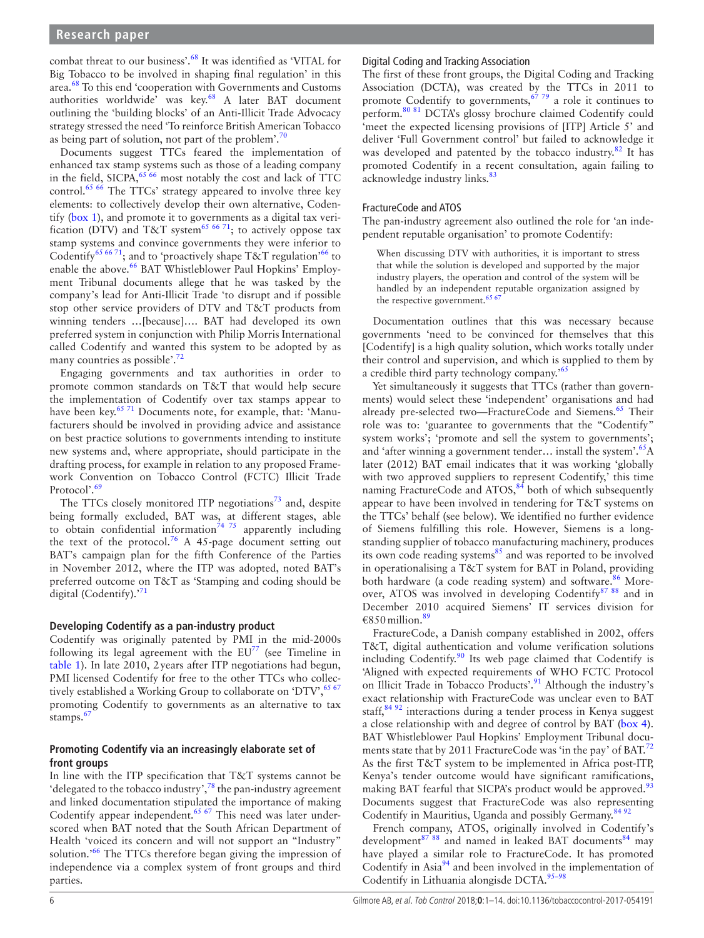combat threat to our business'[.68](#page-10-14) It was identified as 'VITAL for Big Tobacco to be involved in shaping final regulation' in this area.[68](#page-10-14) To this end 'cooperation with Governments and Customs authorities worldwide<sup>3</sup> was key.<sup>68</sup> A later BAT document outlining the 'building blocks' of an Anti-Illicit Trade Advocacy strategy stressed the need 'To reinforce British American Tobacco as being part of solution, not part of the problem'. $70$ 

Documents suggest TTCs feared the implementation of enhanced tax stamp systems such as those of a leading company in the field, SICPA,  $65\,66$  most notably the cost and lack of TTC control.<sup>65 66</sup> The TTCs' strategy appeared to involve three key elements: to collectively develop their own alternative, Codentify [\(box](#page-3-0) 1), and promote it to governments as a digital tax veri-fication (DTV) and T&T system<sup>[65 66 71](#page-10-1)</sup>; to actively oppose tax stamp systems and convince governments they were inferior to Codentify<sup>65 [66](#page-10-5) 71</sup>; and to 'proactively shape T&T regulation'<sup>66</sup> to enable the above.<sup>[66](#page-10-5)</sup> BAT Whistleblower Paul Hopkins' Employment Tribunal documents allege that he was tasked by the company's lead for Anti-Illicit Trade 'to disrupt and if possible stop other service providers of DTV and T&T products from winning tenders …[because]…. BAT had developed its own preferred system in conjunction with Philip Morris International called Codentify and wanted this system to be adopted by as many countries as possible'.<sup>7</sup>

Engaging governments and tax authorities in order to promote common standards on T&T that would help secure the implementation of Codentify over tax stamps appear to have been key.<sup>[65 71](#page-10-1)</sup> Documents note, for example, that: 'Manufacturers should be involved in providing advice and assistance on best practice solutions to governments intending to institute new systems and, where appropriate, should participate in the drafting process, for example in relation to any proposed Framework Convention on Tobacco Control (FCTC) Illicit Trade Protocol'.<sup>[69](#page-10-17)</sup>

The TTCs closely monitored ITP negotiations<sup>[73](#page-10-18)</sup> and, despite being formally excluded, BAT was, at different stages, able to obtain confidential information<sup>[74 75](#page-10-19)</sup> apparently including the text of the protocol.<sup>76</sup> A 45-page document setting out BAT's campaign plan for the fifth Conference of the Parties in November 2012, where the ITP was adopted, noted BAT's preferred outcome on T&T as 'Stamping and coding should be digital (Codentify). $^{71}$ 

#### **Developing Codentify as a pan-industry product**

Codentify was originally patented by PMI in the mid-2000s following its legal agreement with the  $EU^{77}$  $EU^{77}$  $EU^{77}$  (see Timeline in [table](#page-1-0) 1). In late 2010, 2years after ITP negotiations had begun, PMI licensed Codentify for free to the other TTCs who collec-tively established a Working Group to collaborate on 'DTV', <sup>[65 67](#page-10-1)</sup> promoting Codentify to governments as an alternative to tax stamps.<sup>[67](#page-10-2)</sup>

# **Promoting Codentify via an increasingly elaborate set of front groups**

In line with the ITP specification that T&T systems cannot be 'delegated to the tobacco industry',<sup>78</sup> the pan-industry agreement and linked documentation stipulated the importance of making Codentify appear independent.<sup>[65 67](#page-10-1)</sup> This need was later underscored when BAT noted that the South African Department of Health 'voiced its concern and will not support an "Industry" solution.<sup>'66</sup> The TTCs therefore began giving the impression of independence via a complex system of front groups and third parties.

## Digital Coding and Tracking Association

The first of these front groups, the Digital Coding and Tracking Association (DCTA), was created by the TTCs in 2011 to promote Codentify to governments,  $6779$  a role it continues to perform.<sup>[80 81](#page-10-23)</sup> DCTA's glossy brochure claimed Codentify could 'meet the expected licensing provisions of [ITP] Article 5' and deliver 'Full Government control' but failed to acknowledge it was developed and patented by the tobacco industry.<sup>82</sup> It has promoted Codentify in a recent consultation, again failing to acknowledge industry links.<sup>83</sup>

## FractureCode and ATOS

The pan-industry agreement also outlined the role for 'an independent reputable organisation' to promote Codentify:

When discussing DTV with authorities, it is important to stress that while the solution is developed and supported by the major industry players, the operation and control of the system will be handled by an independent reputable organization assigned by the respective government. $65$ 

Documentation outlines that this was necessary because governments 'need to be convinced for themselves that this [Codentify] is a high quality solution, which works totally under their control and supervision, and which is supplied to them by a credible third party technology company.'[65](#page-10-1)

Yet simultaneously it suggests that TTCs (rather than governments) would select these 'independent' organisations and had already pre-selected two—FractureCode and Siemens.<sup>65</sup> Their role was to: 'guarantee to governments that the "Codentify" system works'; 'promote and sell the system to governments'; and 'after winning a government tender... install the system'. ${}^{65}$  ${}^{65}$  ${}^{65}$ A later (2012) BAT email indicates that it was working 'globally with two approved suppliers to represent Codentify,' this time naming FractureCode and  $ATOS$ ,  $84$  both of which subsequently appear to have been involved in tendering for T&T systems on the TTCs' behalf (see below). We identified no further evidence of Siemens fulfilling this role. However, Siemens is a longstanding supplier of tobacco manufacturing machinery, produces its own code reading systems $85$  and was reported to be involved in operationalising a T&T system for BAT in Poland, providing both hardware (a code reading system) and software.<sup>[86](#page-10-28)</sup> Moreover, ATOS was involved in developing Codentify<sup>87</sup> 88 and in December 2010 acquired Siemens' IT services division for  $€850$  million.<sup>[89](#page-10-30)</sup>

FractureCode, a Danish company established in 2002, offers T&T, digital authentication and volume verification solutions including Codentify.<sup>[90](#page-10-31)</sup> Its web page claimed that Codentify is 'Aligned with expected requirements of WHO FCTC Protocol on Illicit Trade in Tobacco Products'.<sup>[91](#page-10-32)</sup> Although the industry's exact relationship with FractureCode was unclear even to BAT staff,<sup>84 92</sup> interactions during a tender process in Kenya suggest a close relationship with and degree of control by BAT ([box](#page-6-0) 4). BAT Whistleblower Paul Hopkins' Employment Tribunal docu-ments state that by 2011 FractureCode was 'in the pay' of BAT.<sup>[72](#page-10-16)</sup> As the first T&T system to be implemented in Africa post-ITP, Kenya's tender outcome would have significant ramifications, making BAT fearful that SICPA's product would be approved.<sup>[93](#page-10-33)</sup> Documents suggest that FractureCode was also representing Codentify in Mauritius, Uganda and possibly Germany.<sup>[84 92](#page-10-26)</sup>

French company, ATOS, originally involved in Codentify's development<sup>[87 88](#page-10-29)</sup> and named in leaked BAT documents<sup>[84](#page-10-26)</sup> may have played a similar role to FractureCode. It has promoted Codentify in Asia<sup>94</sup> and been involved in the implementation of Codentify in Lithuania alongisde DCTA. $95-98$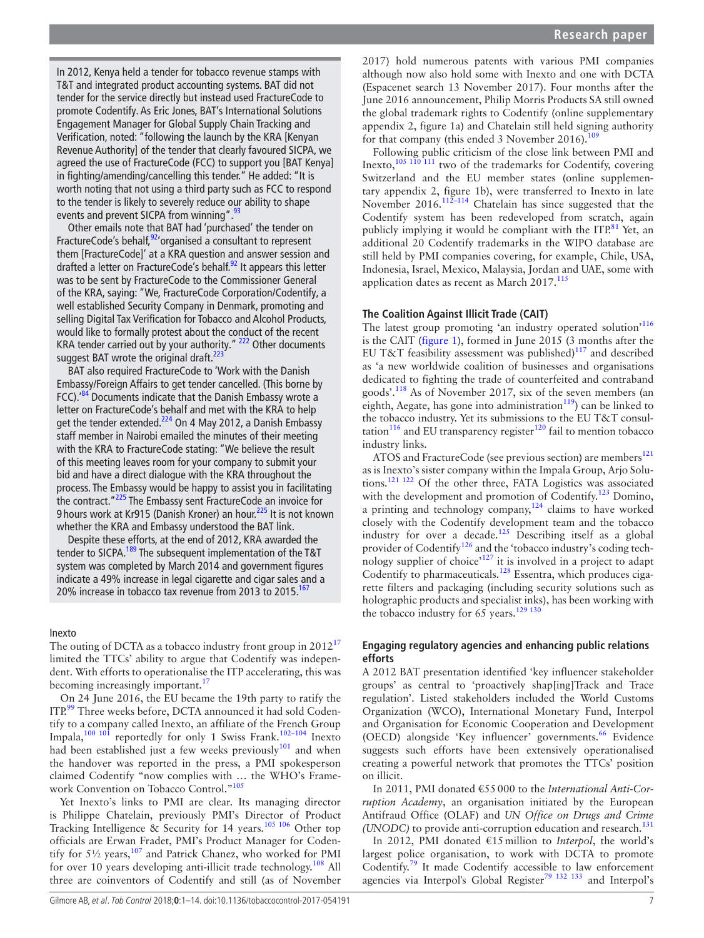<span id="page-6-0"></span>In 2012, Kenya held a tender for tobacco revenue stamps with T&T and integrated product accounting systems. BAT did not tender for the service directly but instead used FractureCode to promote Codentify. As Eric Jones, BAT's International Solutions Engagement Manager for Global Supply Chain Tracking and Verification, noted: "following the launch by the KRA [Kenyan Revenue Authority] of the tender that clearly favoured SICPA, we agreed the use of FractureCode (FCC) to support you [BAT Kenya] in fighting/amending/cancelling this tender." He added: "It is worth noting that not using a third party such as FCC to respond to the tender is likely to severely reduce our ability to shape events and prevent SICPA from winning". [93](#page-10-33)

Other emails note that BAT had 'purchased' the tender on FractureCode's behalf.<sup>92</sup>'organised a consultant to represent them [FractureCode]' at a KRA question and answer session and drafted a letter on FractureCode's behalf.<sup>92</sup> It appears this letter was to be sent by FractureCode to the Commissioner General of the KRA, saying: "We, FractureCode Corporation/Codentify, a well established Security Company in Denmark, promoting and selling Digital Tax Verification for Tobacco and Alcohol Products, would like to formally protest about the conduct of the recent KRA tender carried out by your authority." <sup>222</sup> Other documents suggest BAT wrote the original draft. $^{223}$ 

BAT also required FractureCode to 'Work with the Danish Embassy/Foreign Affairs to get tender cancelled. (This borne by FCC).<sup>84</sup> Documents indicate that the Danish Embassy wrote a letter on FractureCode's behalf and met with the KRA to help get the tender extended.<sup>224</sup> On 4 May 2012, a Danish Embassy staff member in Nairobi emailed the minutes of their meeting with the KRA to FractureCode stating: "We believe the result of this meeting leaves room for your company to submit your bid and have a direct dialogue with the KRA throughout the process. The Embassy would be happy to assist you in facilitating the contract."<sup>[225](#page-13-11)</sup> The Embassy sent FractureCode an invoice for 9 hours work at Kr915 (Danish Kroner) an hour.<sup>[225](#page-13-11)</sup> It is not known whether the KRA and Embassy understood the BAT link.

Despite these efforts, at the end of 2012, KRA awarded the tender to SICPA.<sup>189</sup> The subsequent implementation of the T&T system was completed by March 2014 and government figures indicate a 49% increase in legal cigarette and cigar sales and a 20% increase in tobacco tax revenue from 2013 to 2015.<sup>[167](#page-12-33)</sup>

#### Inexto

The outing of DCTA as a tobacco industry front group in  $2012^{17}$  $2012^{17}$  $2012^{17}$ limited the TTCs' ability to argue that Codentify was independent. With efforts to operationalise the ITP accelerating, this was becoming increasingly important.<sup>[17](#page-9-7)</sup>

On 24 June 2016, the EU became the 19th party to ratify the ITP.<sup>[99](#page-11-7)</sup> Three weeks before, DCTA announced it had sold Codentify to a company called Inexto, an affiliate of the French Group Impala, $100 \t{101}$  reportedly for only 1 Swiss Frank.<sup>[102–104](#page-11-9)</sup> Inexto had been established just a few weeks previously $101$  and when the handover was reported in the press, a PMI spokesperson claimed Codentify "now complies with … the WHO's Frame-work Convention on Tobacco Control."<sup>[105](#page-11-10)</sup>

Yet Inexto's links to PMI are clear. Its managing director is Philippe Chatelain, previously PMI's Director of Product Tracking Intelligence  $\&$  Security for 14 years.<sup>105 106</sup> Other top officials are Erwan Fradet, PMI's Product Manager for Codentify for  $5\frac{1}{2}$  years,  $107$  and Patrick Chanez, who worked for PMI for over 10 years developing anti-illicit trade technology.<sup>108</sup> All three are coinventors of Codentify and still (as of November

2017) hold numerous patents with various PMI companies although now also hold some with Inexto and one with DCTA (Espacenet search 13 November 2017). Four months after the June 2016 announcement, Philip Morris Products SA still owned the global trademark rights to Codentify (online [supplementary](https://dx.doi.org/10.1136/tobaccocontrol-2017-054191) [appendix 2, figure 1a\)](https://dx.doi.org/10.1136/tobaccocontrol-2017-054191) and Chatelain still held signing authority for that company (this ended 3 November 2016). $\frac{109}{20}$  $\frac{109}{20}$  $\frac{109}{20}$ 

Following public criticism of the close link between PMI and Inexto,<sup>105 110</sup> 111 two of the trademarks for Codentify, covering Switzerland and the EU member states (online [supplemen](https://dx.doi.org/10.1136/tobaccocontrol-2017-054191)[tary appendix 2, figure 1b](https://dx.doi.org/10.1136/tobaccocontrol-2017-054191)), were transferred to Inexto in late November 2016.<sup>112–114</sup> Chatelain has since suggested that the Codentify system has been redeveloped from scratch, again publicly implying it would be compliant with the  $ITP<sup>81</sup>$  Yet, an additional 20 Codentify trademarks in the WIPO database are still held by PMI companies covering, for example, Chile, USA, Indonesia, Israel, Mexico, Malaysia, Jordan and UAE, some with application dates as recent as March 2017.<sup>115</sup>

## **The Coalition Against Illicit Trade (CAIT)**

The latest group promoting 'an industry operated solution'<sup>116</sup> is the CAIT ([figure](#page-7-0) 1), formed in June 2015 (3 months after the EU T&T feasibility assessment was published) $117$  and described as 'a new worldwide coalition of businesses and organisations dedicated to fighting the trade of counterfeited and contraband goods'.[118](#page-11-4) As of November 2017, six of the seven members (an eighth, Aegate, has gone into administration $^{119}$  $^{119}$  $^{119}$ ) can be linked to the tobacco industry. Yet its submissions to the EU T&T consul-tation<sup>[116](#page-11-15)</sup> and EU transparency register<sup>120</sup> fail to mention tobacco industry links.

ATOS and FractureCode (see previous section) are members<sup>121</sup> as is Inexto's sister company within the Impala Group, Arjo Solutions.[121 122](#page-11-18) Of the other three, FATA Logistics was associated with the development and promotion of Codentify.[123](#page-11-19) Domino, a printing and technology company, $124$  claims to have worked closely with the Codentify development team and the tobacco industry for over a decade.<sup>125</sup> Describing itself as a global provider of Codentify<sup>[126](#page-11-22)</sup> and the 'tobacco industry's coding technology supplier of choice<sup> $127$ </sup> it is involved in a project to adapt Codentify to pharmaceuticals.<sup>128</sup> Essentra, which produces cigarette filters and packaging (including security solutions such as holographic products and specialist inks), has been working with the tobacco industry for  $65$  years.<sup>129</sup> <sup>130</sup>

# **Engaging regulatory agencies and enhancing public relations efforts**

A 2012 BAT presentation identified 'key influencer stakeholder groups' as central to 'proactively shap[ing]Track and Trace regulation'. Listed stakeholders included the World Customs Organization (WCO), International Monetary Fund, Interpol and Organisation for Economic Cooperation and Development (OECD) alongside 'Key influencer' governments.<sup>[66](#page-10-5)</sup> Evidence suggests such efforts have been extensively operationalised creating a powerful network that promotes the TTCs' position on illicit.

In 2011, PMI donated €55000 to the *International Anti-Corruption Academy*, an organisation initiated by the European Antifraud Office (OLAF) and *UN Office on Drugs and Crime (UNODC)* to provide anti-corruption education and research.<sup>[131](#page-11-1)</sup>

In 2012, PMI donated €15million to *Interpol*, the world's largest police organisation, to work with DCTA to promote Codentify.[79](#page-10-6) It made Codentify accessible to law enforcement agencies via Interpol's Global Register<sup>[79 132 133](#page-10-6)</sup> and Interpol's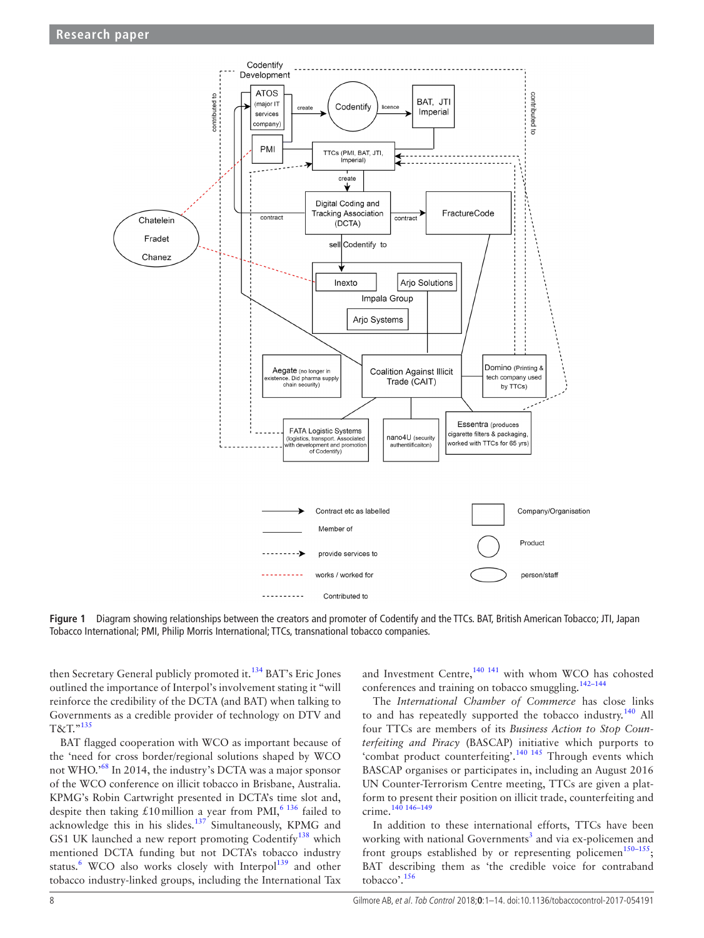

<span id="page-7-0"></span>**Figure 1** Diagram showing relationships between the creators and promoter of Codentify and the TTCs. BAT, British American Tobacco; JTI, Japan Tobacco International; PMI, Philip Morris International; TTCs, transnational tobacco companies.

then Secretary General publicly promoted it.[134](#page-11-26) BAT's Eric Jones outlined the importance of Interpol's involvement stating it "will reinforce the credibility of the DCTA (and BAT) when talking to Governments as a credible provider of technology on DTV and T&T."[135](#page-11-27)

BAT flagged cooperation with WCO as important because of the 'need for cross border/regional solutions shaped by WCO not WHO.'[68](#page-10-14) In 2014, the industry's DCTA was a major sponsor of the WCO conference on illicit tobacco in Brisbane, Australia. KPMG's Robin Cartwright presented in DCTA's time slot and, despite then taking £10 million a year from PMI,<sup>[6 136](#page-9-10)</sup> failed to acknowledge this in his slides.[137](#page-11-28) Simultaneously, KPMG and GS1 UK launched a new report promoting Codentify<sup>[138](#page-11-2)</sup> which mentioned DCTA funding but not DCTA's tobacco industry status.<sup>[6](#page-9-10)</sup> WCO also works closely with Interpol<sup>139</sup> and other tobacco industry-linked groups, including the International Tax

and Investment Centre, $140$ <sup>141</sup> with whom WCO has cohosted conferences and training on tobacco smuggling.<sup>142-144</sup>

The *International Chamber of Commerce* has close links to and has repeatedly supported the tobacco industry.<sup>140</sup> All four TTCs are members of its *Business Action to Stop Counterfeiting and Piracy* (BASCAP) initiative which purports to 'combat product counterfeiting'.[140 145](#page-11-30) Through events which BASCAP organises or participates in, including an August 2016 UN Counter-Terrorism Centre meeting, TTCs are given a platform to present their position on illicit trade, counterfeiting and crime.[140 146–149](#page-11-30)

In addition to these international efforts, TTCs have been working with national Governments<sup>[3](#page-9-20)</sup> and via ex-policemen and front groups established by or representing policemen<sup>150-155</sup>; BAT describing them as 'the credible voice for contraband tobacco'.[156](#page-12-34)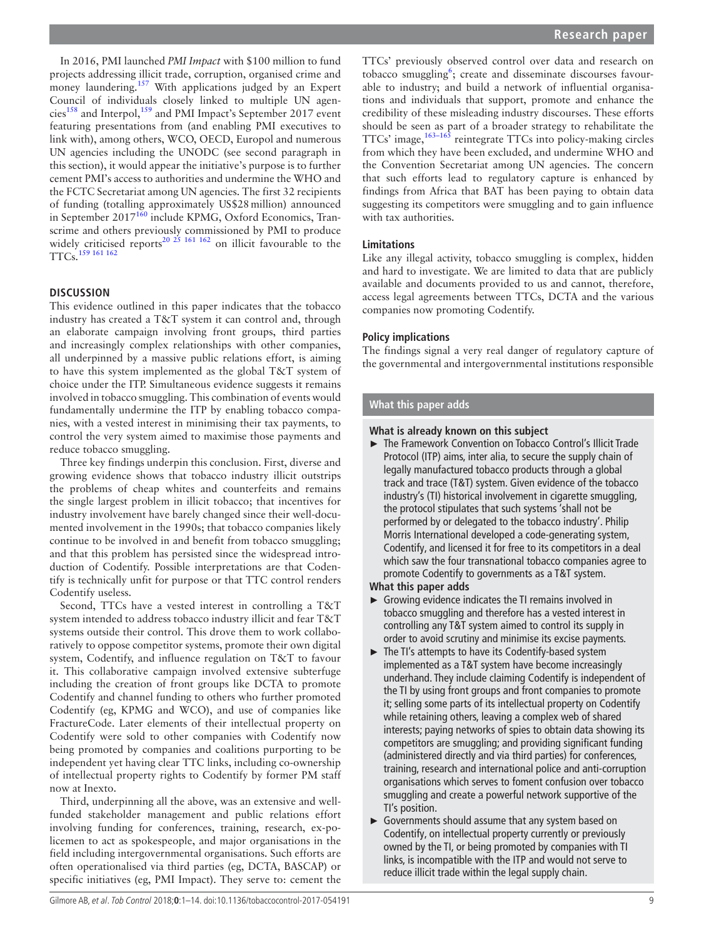In 2016, PMI launched *PMI Impact* with \$100 million to fund projects addressing illicit trade, corruption, organised crime and money laundering.<sup>[157](#page-12-35)</sup> With applications judged by an Expert Council of individuals closely linked to multiple UN agencies<sup>158</sup> and Interpol,<sup>159</sup> and PMI Impact's September 2017 event featuring presentations from (and enabling PMI executives to link with), among others, WCO, OECD, Europol and numerous UN agencies including the UNODC (see second paragraph in this section), it would appear the initiative's purpose is to further cement PMI's access to authorities and undermine the WHO and the FCTC Secretariat among UN agencies. The first 32 recipients of funding (totalling approximately US\$28million) announced in September 2017<sup>[160](#page-12-27)</sup> include KPMG, Oxford Economics, Transcrime and others previously commissioned by PMI to produce widely criticised reports<sup>20 25</sup> <sup>161 162</sup> on illicit favourable to the TTCs[.159 161 162](#page-12-32)

# **Discussion**

This evidence outlined in this paper indicates that the tobacco industry has created a T&T system it can control and, through an elaborate campaign involving front groups, third parties and increasingly complex relationships with other companies, all underpinned by a massive public relations effort, is aiming to have this system implemented as the global T&T system of choice under the ITP. Simultaneous evidence suggests it remains involved in tobacco smuggling. This combination of events would fundamentally undermine the ITP by enabling tobacco companies, with a vested interest in minimising their tax payments, to control the very system aimed to maximise those payments and reduce tobacco smuggling.

Three key findings underpin this conclusion. First, diverse and growing evidence shows that tobacco industry illicit outstrips the problems of cheap whites and counterfeits and remains the single largest problem in illicit tobacco; that incentives for industry involvement have barely changed since their well-documented involvement in the 1990s; that tobacco companies likely continue to be involved in and benefit from tobacco smuggling; and that this problem has persisted since the widespread introduction of Codentify. Possible interpretations are that Codentify is technically unfit for purpose or that TTC control renders Codentify useless.

Second, TTCs have a vested interest in controlling a T&T system intended to address tobacco industry illicit and fear T&T systems outside their control. This drove them to work collaboratively to oppose competitor systems, promote their own digital system, Codentify, and influence regulation on T&T to favour it. This collaborative campaign involved extensive subterfuge including the creation of front groups like DCTA to promote Codentify and channel funding to others who further promoted Codentify (eg, KPMG and WCO), and use of companies like FractureCode. Later elements of their intellectual property on Codentify were sold to other companies with Codentify now being promoted by companies and coalitions purporting to be independent yet having clear TTC links, including co-ownership of intellectual property rights to Codentify by former PM staff now at Inexto.

Third, underpinning all the above, was an extensive and wellfunded stakeholder management and public relations effort involving funding for conferences, training, research, ex-policemen to act as spokespeople, and major organisations in the field including intergovernmental organisations. Such efforts are often operationalised via third parties (eg, DCTA, BASCAP) or specific initiatives (eg, PMI Impact). They serve to: cement the TTCs' previously observed control over data and research on tobacco smuggling<sup>6</sup>; create and disseminate discourses favourable to industry; and build a network of influential organisations and individuals that support, promote and enhance the credibility of these misleading industry discourses. These efforts should be seen as part of a broader strategy to rehabilitate the TTCs' image,  $163-165$  reintegrate TTCs into policy-making circles from which they have been excluded, and undermine WHO and the Convention Secretariat among UN agencies. The concern that such efforts lead to regulatory capture is enhanced by findings from Africa that BAT has been paying to obtain data suggesting its competitors were smuggling and to gain influence with tax authorities.

# **Limitations**

Like any illegal activity, tobacco smuggling is complex, hidden and hard to investigate. We are limited to data that are publicly available and documents provided to us and cannot, therefore, access legal agreements between TTCs, DCTA and the various companies now promoting Codentify.

# **Policy implications**

The findings signal a very real danger of regulatory capture of the governmental and intergovernmental institutions responsible

# **What this paper adds**

# **What is already known on this subject**

► The Framework Convention on Tobacco Control's Illicit Trade Protocol (ITP) aims, inter alia, to secure the supply chain of legally manufactured tobacco products through a global track and trace (T&T) system. Given evidence of the tobacco industry's (TI) historical involvement in cigarette smuggling, the protocol stipulates that such systems 'shall not be performed by or delegated to the tobacco industry'. Philip Morris International developed a code-generating system, Codentify, and licensed it for free to its competitors in a deal which saw the four transnational tobacco companies agree to promote Codentify to governments as a T&T system.

# **What this paper adds**

- ► Growing evidence indicates the TI remains involved in tobacco smuggling and therefore has a vested interest in controlling any T&T system aimed to control its supply in order to avoid scrutiny and minimise its excise payments.
- ► The TI's attempts to have its Codentify-based system implemented as a T&T system have become increasingly underhand. They include claiming Codentify is independent of the TI by using front groups and front companies to promote it; selling some parts of its intellectual property on Codentify while retaining others, leaving a complex web of shared interests; paying networks of spies to obtain data showing its competitors are smuggling; and providing significant funding (administered directly and via third parties) for conferences, training, research and international police and anti-corruption organisations which serves to foment confusion over tobacco smuggling and create a powerful network supportive of the TI's position.
- ► Governments should assume that any system based on Codentify, on intellectual property currently or previously owned by the TI, or being promoted by companies with TI links, is incompatible with the ITP and would not serve to reduce illicit trade within the legal supply chain.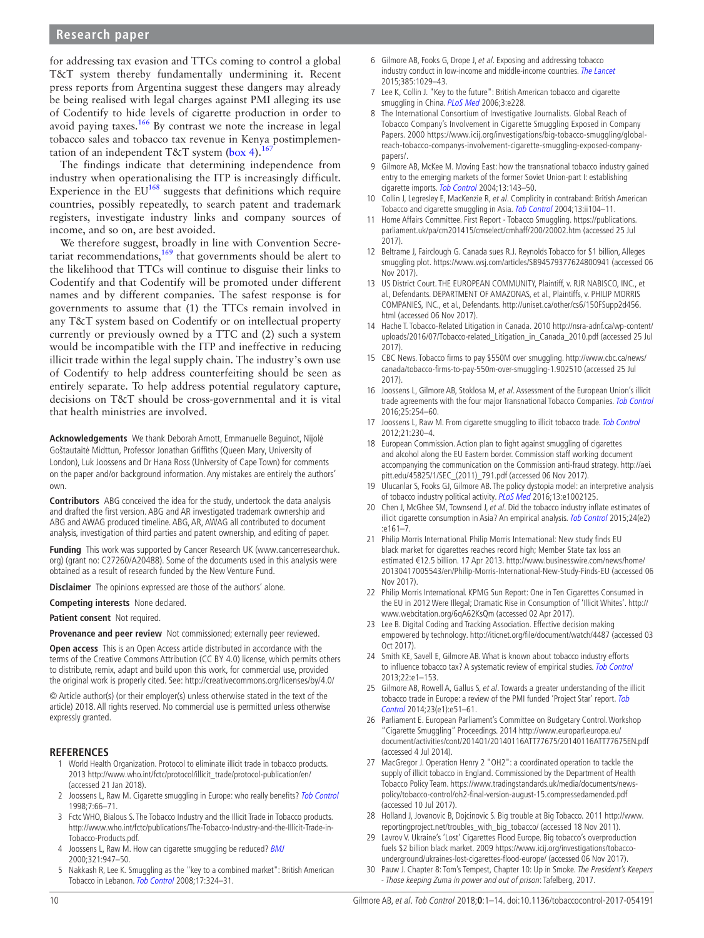# **Research paper**

for addressing tax evasion and TTCs coming to control a global T&T system thereby fundamentally undermining it. Recent press reports from Argentina suggest these dangers may already be being realised with legal charges against PMI alleging its use of Codentify to hide levels of cigarette production in order to avoid paying taxes.<sup>166</sup> By contrast we note the increase in legal tobacco sales and tobacco tax revenue in Kenya postimplementation of an independent T&T system ([box](#page-6-0) 4).<sup>167</sup>

The findings indicate that determining independence from industry when operationalising the ITP is increasingly difficult. Experience in the  $EU^{168}$  suggests that definitions which require countries, possibly repeatedly, to search patent and trademark registers, investigate industry links and company sources of income, and so on, are best avoided.

We therefore suggest, broadly in line with Convention Secretariat recommendations, $169$  that governments should be alert to the likelihood that TTCs will continue to disguise their links to Codentify and that Codentify will be promoted under different names and by different companies. The safest response is for governments to assume that (1) the TTCs remain involved in any T&T system based on Codentify or on intellectual property currently or previously owned by a TTC and (2) such a system would be incompatible with the ITP and ineffective in reducing illicit trade within the legal supply chain. The industry's own use of Codentify to help address counterfeiting should be seen as entirely separate. To help address potential regulatory capture, decisions on T&T should be cross-governmental and it is vital that health ministries are involved.

**Acknowledgements** We thank Deborah Arnott, Emmanuelle Beguinot, Nijolė Goštautaitė Midttun, Professor Jonathan Griffiths (Queen Mary, University of London), Luk Joossens and Dr Hana Ross (University of Cape Town) for comments on the paper and/or background information. Any mistakes are entirely the authors' own.

**Contributors** ABG conceived the idea for the study, undertook the data analysis and drafted the first version. ABG and AR investigated trademark ownership and ABG and AWAG produced timeline. ABG, AR, AWAG all contributed to document analysis, investigation of third parties and patent ownership, and editing of paper.

**Funding** This work was supported by Cancer Research UK (www.cancerresearchuk. org) (grant no: C27260/A20488). Some of the documents used in this analysis were obtained as a result of research funded by the New Venture Fund.

**Disclaimer** The opinions expressed are those of the authors' alone.

**Competing interests** None declared.

**Patient consent** Not required.

**Provenance and peer review** Not commissioned; externally peer reviewed.

**Open access** This is an Open Access article distributed in accordance with the terms of the Creative Commons Attribution (CC BY 4.0) license, which permits others to distribute, remix, adapt and build upon this work, for commercial use, provided the original work is properly cited. See: <http://creativecommons.org/licenses/by/4.0/>

© Article author(s) (or their employer(s) unless otherwise stated in the text of the article) 2018. All rights reserved. No commercial use is permitted unless otherwise expressly granted.

#### **References**

- <span id="page-9-0"></span>1 World Health Organization. Protocol to eliminate illicit trade in tobacco products. 2013 [http://www.who.int/fctc/protocol/illicit\\_trade/protocol-publication/en/](http://www.who.int/fctc/protocol/illicit_trade/protocol-publication/en/) (accessed 21 Jan 2018).
- <span id="page-9-1"></span>2 Joossens L, Raw M. Cigarette smuggling in Europe: who really benefits? [Tob Control](http://dx.doi.org/10.1136/tc.7.1.66) 1998;7:66–71.
- <span id="page-9-20"></span>3 Fctc WHO, Bialous S. The Tobacco Industry and the Illicit Trade in Tobacco products. [http://www.who.int/fctc/publications/The-Tobacco-Industry-and-the-Illicit-Trade-in-](http://www.who.int/fctc/publications/The-Tobacco-Industry-and-the-Illicit-Trade-in-Tobacco-Products.pdf)[Tobacco-Products.pdf](http://www.who.int/fctc/publications/The-Tobacco-Industry-and-the-Illicit-Trade-in-Tobacco-Products.pdf).
- <span id="page-9-2"></span>4 Joossens L, Raw M. How can cigarette smuggling be reduced? [BMJ](http://dx.doi.org/10.1136/bmj.321.7266.947) 2000;321:947–50.
- 5 Nakkash R, Lee K. Smuggling as the "key to a combined market": British American Tobacco in Lebanon. [Tob Control](http://dx.doi.org/10.1136/tc.2008.025254) 2008;17:324–31.
- <span id="page-9-10"></span>6 Gilmore AB, Fooks G, Drope J, et al. Exposing and addressing tobacco industry conduct in low-income and middle-income countries. [The Lancet](http://dx.doi.org/10.1016/S0140-6736(15)60312-9) 2015;385:1029–43.
- 7 Lee K, Collin J. "Key to the future": British American tobacco and cigarette smuggling in China. [PLoS Med](http://dx.doi.org/10.1371/journal.pmed.0030228) 2006;3:e228.
- <span id="page-9-11"></span>8 The International Consortium of Investigative Journalists. Global Reach of Tobacco Company's Involvement in Cigarette Smuggling Exposed in Company Papers. 2000 [https://www.icij.org/investigations/big-tobacco-smuggling/global](https://www.icij.org/investigations/big-tobacco-smuggling/global-reach-tobacco-companys-involvement-cigarette-smuggling-exposed-company-papers/)[reach-tobacco-companys-involvement-cigarette-smuggling-exposed-company](https://www.icij.org/investigations/big-tobacco-smuggling/global-reach-tobacco-companys-involvement-cigarette-smuggling-exposed-company-papers/)[papers/.](https://www.icij.org/investigations/big-tobacco-smuggling/global-reach-tobacco-companys-involvement-cigarette-smuggling-exposed-company-papers/)
- <span id="page-9-3"></span>9 Gilmore AB, McKee M. Moving East: how the transnational tobacco industry gained entry to the emerging markets of the former Soviet Union-part I: establishing cigarette imports. [Tob Control](http://dx.doi.org/10.1136/tc.2003.005108) 2004;13:143–50.
- 10 Collin J, Legresley E, MacKenzie R, et al. Complicity in contraband: British American Tobacco and cigarette smuggling in Asia. [Tob Control](http://dx.doi.org/10.1136/tc.2004.009357) 2004;13:ii104-11.
- <span id="page-9-4"></span>11 Home Affairs Committee. First Report - Tobacco Smuggling. [https://publications.](https://publications.parliament.uk/pa/cm201415/cmselect/cmhaff/200/20002.htm) [parliament.uk/pa/cm201415/cmselect/cmhaff/200/20002.htm](https://publications.parliament.uk/pa/cm201415/cmselect/cmhaff/200/20002.htm) (accessed 25 Jul 2017).
- <span id="page-9-8"></span>12 Beltrame J, Fairclough G. Canada sues R.J. Reynolds Tobacco for \$1 billion, Alleges smuggling plot. <https://www.wsj.com/articles/SB94579377624800941> (accessed 06 Nov 2017).
- 13 US District Court. THE EUROPEAN COMMUNITY, Plaintiff, v. RJR NABISCO, INC., et al., Defendants. DEPARTMENT OF AMAZONAS, et al., Plaintiffs, v. PHILIP MORRIS COMPANIES, INC., et al., Defendants. [http://uniset.ca/other/cs6/150FSupp2d456.](http://uniset.ca/other/cs6/150FSupp2d456.html) [html](http://uniset.ca/other/cs6/150FSupp2d456.html) (accessed 06 Nov 2017).
- <span id="page-9-5"></span>14 Hache T. Tobacco-Related Litigation in Canada. 2010 [http://nsra-adnf.ca/wp-content/](http://nsra-adnf.ca/wp-content/uploads/2016/07/Tobacco-related_Litigation_in_Canada_2010.pdf) [uploads/2016/07/Tobacco-related\\_Litigation\\_in\\_Canada\\_2010.pdf](http://nsra-adnf.ca/wp-content/uploads/2016/07/Tobacco-related_Litigation_in_Canada_2010.pdf) (accessed 25 Jul 2017).
- 15 CBC News. Tobacco firms to pay \$550M over smuggling. [http://www.cbc.ca/news/](http://www.cbc.ca/news/canada/tobacco-firms-to-pay-550m-over-smuggling-1.902510) [canada/tobacco-firms-to-pay-550m-over-smuggling-1.902510](http://www.cbc.ca/news/canada/tobacco-firms-to-pay-550m-over-smuggling-1.902510) (accessed 25 Jul 2017).
- <span id="page-9-6"></span>16 Joossens L, Gilmore AB, Stoklosa M, et al. Assessment of the European Union's illicit trade agreements with the four major Transnational Tobacco Companies. [Tob Control](http://dx.doi.org/10.1136/tobaccocontrol-2014-052218) 2016;25:254–60.
- <span id="page-9-7"></span>17 Joossens L, Raw M. From cigarette smuggling to illicit tobacco trade. [Tob Control](http://dx.doi.org/10.1136/tobaccocontrol-2011-050205) 2012;21:230–4.
- 18 European Commission. Action plan to fight against smuggling of cigarettes and alcohol along the EU Eastern border. Commission staff working document accompanying the communication on the Commission anti-fraud strategy. [http://aei.](http://aei.pitt.edu/45825/1/SEC_(2011)_791.pdf) [pitt.edu/45825/1/SEC\\_\(2011\)\\_791.pdf](http://aei.pitt.edu/45825/1/SEC_(2011)_791.pdf) (accessed 06 Nov 2017).
- <span id="page-9-12"></span>19 Ulucanlar S, Fooks GJ, Gilmore AB. The policy dystopia model: an interpretive analysis of tobacco industry political activity. [PLoS Med](http://dx.doi.org/10.1371/journal.pmed.1002125) 2016;13:e1002125.
- <span id="page-9-21"></span>20 Chen J, McGhee SM, Townsend J, et al. Did the tobacco industry inflate estimates of illicit cigarette consumption in Asia? An empirical analysis. [Tob Control](http://dx.doi.org/10.1136/tobaccocontrol-2014-051937) 2015;24(e2) :e161–7.
- 21 Philip Morris International. Philip Morris International: New study finds EU black market for cigarettes reaches record high; Member State tax loss an estimated €12.5 billion. 17 Apr 2013. [http://www.businesswire.com/news/home/](http://www.businesswire.com/news/home/20130417005543/en/Philip-Morris-International-New-Study-Finds-EU) [20130417005543/en/Philip-Morris-International-New-Study-Finds-EU](http://www.businesswire.com/news/home/20130417005543/en/Philip-Morris-International-New-Study-Finds-EU) (accessed 06 Nov 2017).
- 22 Philip Morris International. KPMG Sun Report: One in Ten Cigarettes Consumed in the EU in 2012 Were Illegal; Dramatic Rise in Consumption of 'Illicit Whites'. [http://](http://www.webcitation.org/6qA62KsQm) [www.webcitation.org/6qA62KsQm](http://www.webcitation.org/6qA62KsQm) (accessed 02 Apr 2017).
- <span id="page-9-13"></span>23 Lee B. Digital Coding and Tracking Association. Effective decision making empowered by technology. <http://iticnet.org/file/document/watch/4487> (accessed 03 Oct 2017).
- <span id="page-9-14"></span>24 Smith KE, Savell E, Gilmore AB. What is known about tobacco industry efforts to influence tobacco tax? A systematic review of empirical studies. [Tob Control](http://dx.doi.org/10.1136/tobaccocontrol-2011-050098) 2013;22:e1–153.
- <span id="page-9-9"></span>25 Gilmore AB, Rowell A, Gallus S, et al. Towards a greater understanding of the illicit tobacco trade in Europe: a review of the PMI funded 'Project Star' report. Tob [Control](http://dx.doi.org/10.1136/tobaccocontrol-2013-051240) 2014;23(e1):e51–61.
- <span id="page-9-15"></span>26 Parliament E. European Parliament's Committee on Budgetary Control. Workshop "Cigarette Smuggling" Proceedings. 2014 [http://www.europarl.europa.eu/](http://www.europarl.europa.eu/document/activities/cont/201401/20140116ATT77675/20140116ATT77675EN.pdf) [document/activities/cont/201401/20140116ATT77675/20140116ATT77675EN.pdf](http://www.europarl.europa.eu/document/activities/cont/201401/20140116ATT77675/20140116ATT77675EN.pdf)  (accessed 4 Jul 2014).
- <span id="page-9-16"></span>27 MacGregor J. Operation Henry 2 "OH2": a coordinated operation to tackle the supply of illicit tobacco in England. Commissioned by the Department of Health Tobacco Policy Team. [https://www.tradingstandards.uk/media/documents/news](https://www.tradingstandards.uk/media/documents/news-policy/tobacco-control/oh2-final-version-august-15.compressedamended.pdf)[policy/tobacco-control/oh2-final-version-august-15.compressedamended.pdf](https://www.tradingstandards.uk/media/documents/news-policy/tobacco-control/oh2-final-version-august-15.compressedamended.pdf)  (accessed 10 Jul 2017).
- <span id="page-9-17"></span>28 Holland J, Jovanovic B, Dojcinovic S. Big trouble at Big Tobacco. 2011 [http://www.](http://www.reportingproject.net/troubles_with_big_tobacco/) [reportingproject.net/troubles\\_with\\_big\\_tobacco/](http://www.reportingproject.net/troubles_with_big_tobacco/) (accessed 18 Nov 2011).
- <span id="page-9-18"></span>29 Lavrov V. Ukraine's 'Lost' Cigarettes Flood Europe. Big tobacco's overproduction fuels \$2 billion black market. 2009 [https://www.icij.org/investigations/tobacco](https://www.icij.org/investigations/tobacco-underground/ukraines-lost-cigarettes-flood-europe/)[underground/ukraines-lost-cigarettes-flood-europe/](https://www.icij.org/investigations/tobacco-underground/ukraines-lost-cigarettes-flood-europe/) (accessed 06 Nov 2017).
- <span id="page-9-19"></span>30 Pauw J. Chapter 8: Tom's Tempest, Chapter 10: Up in Smoke. The President's Keepers - Those keeping Zuma in power and out of prison: Tafelberg, 2017.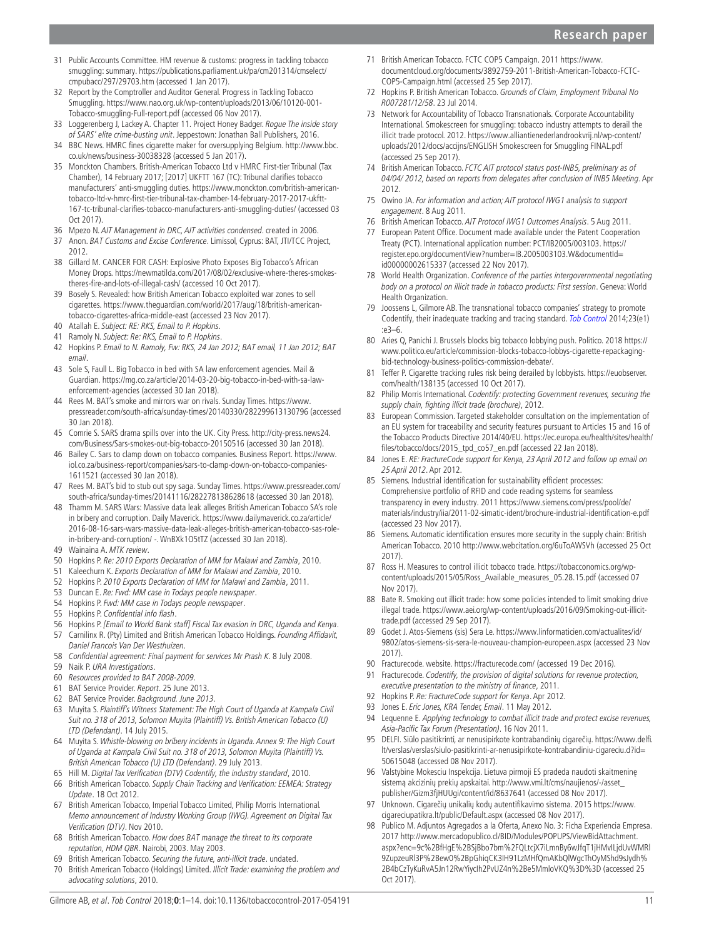- <span id="page-10-7"></span>31 Public Accounts Committee. HM revenue & customs: progress in tackling tobacco smuggling: summary. [https://publications.parliament.uk/pa/cm201314/cmselect/](https://publications.parliament.uk/pa/cm201314/cmselect/cmpubacc/297/29703.htm) [cmpubacc/297/29703.htm](https://publications.parliament.uk/pa/cm201314/cmselect/cmpubacc/297/29703.htm) (accessed 1 Jan 2017).
- 32 Report by the Comptroller and Auditor General. Progress in Tackling Tobacco Smuggling. [https://www.nao.org.uk/wp-content/uploads/2013/06/10120-001-](https://www.nao.org.uk/wp-content/uploads/2013/06/10120-001-Tobacco-smuggling-Full-report.pdf) [Tobacco-smuggling-Full-report.pdf](https://www.nao.org.uk/wp-content/uploads/2013/06/10120-001-Tobacco-smuggling-Full-report.pdf) (accessed 06 Nov 2017).
- <span id="page-10-8"></span>33 Loggerenberg J, Lackey A. Chapter 11. Project Honey Badger. Rogue The inside story of SARS' elite crime-busting unit. Jeppestown: Jonathan Ball Publishers, 2016.
- <span id="page-10-4"></span>34 BBC News. HMRC fines cigarette maker for oversupplying Belgium. [http://www.bbc.](http://www.bbc.co.uk/news/business-30038328) [co.uk/news/business-30038328](http://www.bbc.co.uk/news/business-30038328) (accessed 5 Jan 2017).
- <span id="page-10-3"></span>35 Monckton Chambers. British-American Tobacco Ltd v HMRC First-tier Tribunal (Tax Chamber), 14 February 2017; [2017] UKFTT 167 (TC): Tribunal clarifies tobacco manufacturers' anti-smuggling duties. [https://www.monckton.com/british-american](https://www.monckton.com/british-american-tobacco-ltd-v-hmrc-first-tier-tribunal-tax-chamber-14-february-2017-2017-ukftt-167-tc-tribunal-clarifies-tobacco-manufacturers-anti-smuggling-duties/)[tobacco-ltd-v-hmrc-first-tier-tribunal-tax-chamber-14-february-2017-2017-ukftt-](https://www.monckton.com/british-american-tobacco-ltd-v-hmrc-first-tier-tribunal-tax-chamber-14-february-2017-2017-ukftt-167-tc-tribunal-clarifies-tobacco-manufacturers-anti-smuggling-duties/)[167-tc-tribunal-clarifies-tobacco-manufacturers-anti-smuggling-duties/](https://www.monckton.com/british-american-tobacco-ltd-v-hmrc-first-tier-tribunal-tax-chamber-14-february-2017-2017-ukftt-167-tc-tribunal-clarifies-tobacco-manufacturers-anti-smuggling-duties/) (accessed 03 Oct 2017).
- <span id="page-10-9"></span>36 Mpezo N. AIT Management in DRC, AIT activities condensed. created in 2006.
- 37 Anon. BAT Customs and Excise Conference. Limissol, Cyprus: BAT, JTI/TCC Project, 2012.
- <span id="page-10-10"></span>38 Gillard M. CANCER FOR CASH: Explosive Photo Exposes Big Tobacco's African Money Drops. [https://newmatilda.com/2017/08/02/exclusive-where-theres-smokes](https://newmatilda.com/2017/08/02/exclusive-where-theres-smokes-theres-fire-and-lots-of-illegal-cash/)[theres-fire-and-lots-of-illegal-cash/](https://newmatilda.com/2017/08/02/exclusive-where-theres-smokes-theres-fire-and-lots-of-illegal-cash/) (accessed 10 Oct 2017).
- 39 Bosely S. Revealed: how British American Tobacco exploited war zones to sell cigarettes. [https://www.theguardian.com/world/2017/aug/18/british-american](https://www.theguardian.com/world/2017/aug/18/british-american-tobacco-cigarettes-africa-middle-east)[tobacco-cigarettes-africa-middle-east](https://www.theguardian.com/world/2017/aug/18/british-american-tobacco-cigarettes-africa-middle-east) (accessed 23 Nov 2017).
- <span id="page-10-11"></span>40 Atallah E. Subject: RE: RKS, Email to P. Hopkins.
- 41 Ramoly N. Subject: Re: RKS, Email to P. Hopkins.
- 42 Hopkins P. Email to N. Ramoly, Fw: RKS, 24 Jan 2012; BAT email, 11 Jan 2012; BAT email.
- 43 Sole S, Faull L. Big Tobacco in bed with SA law enforcement agencies. Mail & Guardian. [https://mg.co.za/article/2014-03-20-big-tobacco-in-bed-with-sa-law](https://mg.co.za/article/2014-03-20-big-tobacco-in-bed-with-sa-law-enforcement-agencies)[enforcement-agencies](https://mg.co.za/article/2014-03-20-big-tobacco-in-bed-with-sa-law-enforcement-agencies) (accessed 30 Jan 2018).
- 44 Rees M. BAT's smoke and mirrors war on rivals. Sunday Times. [https://www.](https://www.pressreader.com/south-africa/sunday-times/20140330/282299613130796) [pressreader.com/south-africa/sunday-times/20140330/282299613130796](https://www.pressreader.com/south-africa/sunday-times/20140330/282299613130796) (accessed 30 Jan 2018).
- 45 Comrie S. SARS drama spills over into the UK. City Press. [http://city-press.news24.](http://city-press.news24.com/Business/Sars-smokes-out-big-tobacco-20150516) [com/Business/Sars-smokes-out-big-tobacco-20150516](http://city-press.news24.com/Business/Sars-smokes-out-big-tobacco-20150516) (accessed 30 Jan 2018).
- 46 Bailey C. Sars to clamp down on tobacco companies. Business Report. [https://www.](https://www.iol.co.za/business-report/companies/sars-to-clamp-down-on-tobacco-companies-1611521) [iol.co.za/business-report/companies/sars-to-clamp-down-on-tobacco-companies-](https://www.iol.co.za/business-report/companies/sars-to-clamp-down-on-tobacco-companies-1611521)[1611521](https://www.iol.co.za/business-report/companies/sars-to-clamp-down-on-tobacco-companies-1611521) (accessed 30 Jan 2018).
- 47 Rees M. BAT's bid to stub out spy saga. Sunday Times. [https://www.pressreader.com/](https://www.pressreader.com/south-africa/sunday-times/20141116/282278138628618) [south-africa/sunday-times/20141116/282278138628618](https://www.pressreader.com/south-africa/sunday-times/20141116/282278138628618) (accessed 30 Jan 2018).
- 48 Thamm M. SARS Wars: Massive data leak alleges British American Tobacco SA's role in bribery and corruption. Daily Maverick. [https://www.dailymaverick.co.za/article/](https://www.dailymaverick.co.za/article/2016-08-16-sars-wars-massive-data-leak-alleges-british-american-tobacco-sas-role-in-bribery-and-corruption/ -. WnBXk1O5tTZ) [2016-08-16-sars-wars-massive-data-leak-alleges-british-american-tobacco-sas-role](https://www.dailymaverick.co.za/article/2016-08-16-sars-wars-massive-data-leak-alleges-british-american-tobacco-sas-role-in-bribery-and-corruption/ -. WnBXk1O5tTZ)[in-bribery-and-corruption/ -. WnBXk1O5tTZ](https://www.dailymaverick.co.za/article/2016-08-16-sars-wars-massive-data-leak-alleges-british-american-tobacco-sas-role-in-bribery-and-corruption/ -. WnBXk1O5tTZ) (accessed 30 Jan 2018).
- 49 Wainaina A. MTK review.
- 50 Hopkins P. Re: 2010 Exports Declaration of MM for Malawi and Zambia, 2010.
- 51 Kaleechurn K. Exports Declaration of MM for Malawi and Zambia, 2010.
- 52 Hopkins P. 2010 Exports Declaration of MM for Malawi and Zambia, 2011.
- 53 Duncan E. Re: Fwd: MM case in Todays people newspaper.
- 54 Hopkins P. Fwd: MM case in Todays people newspaper.
- 55 Hopkins P. Confidential info flash.
- 56 Hopkins P. [Email to World Bank staff] Fiscal Tax evasion in DRC, Uganda and Kenya.
- 57 Carnilinx R. (Pty) Limited and British American Tobacco Holdings. Founding Affidavit, Daniel Francois Van Der Westhuizen.
- <span id="page-10-12"></span>58 Confidential agreement: Final payment for services Mr Prash K. 8 July 2008.
- 59 Naik P. URA Investigations.
- <span id="page-10-13"></span>60 Resources provided to BAT 2008-2009.
- 61 BAT Service Provider. Report. 25 June 2013.
- 62 BAT Service Provider. Background. June 2013.
- 63 Muyita S. Plaintiff's Witness Statement: The High Court of Uganda at Kampala Civil Suit no. 318 of 2013, Solomon Muyita (Plaintiff) Vs. British American Tobacco (U) LTD (Defendant). 14 July 2015.
- 64 Muyita S. Whistle-blowing on bribery incidents in Uganda. Annex 9: The High Court of Uganda at Kampala Civil Suit no. 318 of 2013, Solomon Muyita (Plaintiff) Vs. British American Tobacco (U) LTD (Defendant). 29 July 2013.
- <span id="page-10-1"></span>65 Hill M. Digital Tax Verification (DTV) Codentify, the industry standard, 2010.
- <span id="page-10-5"></span>66 British American Tobacco. Supply Chain Tracking and Verification: EEMEA: Strategy Update. 18 Oct 2012.
- <span id="page-10-2"></span>67 British American Tobacco, Imperial Tobacco Limited, Philip Morris International. Memo announcement of Industry Working Group (IWG). Agreement on Digital Tax Verification (DTV). Nov 2010.
- <span id="page-10-14"></span>68 British American Tobacco. How does BAT manage the threat to its corporate reputation, HDM QBR. Nairobi, 2003. May 2003.
- <span id="page-10-17"></span>69 British American Tobacco. Securing the future, anti-illicit trade. undated.<br>70 British American Tobacco (Holdings) Limited *Illicit Trade: examining the*
- <span id="page-10-15"></span>British American Tobacco (Holdings) Limited. Illicit Trade: examining the problem and advocating solutions, 2010.
- <span id="page-10-21"></span>71 British American Tobacco. FCTC COP5 Campaign. 2011 [https://www.](https://www.documentcloud.org/documents/3892759-2011-British-American-Tobacco-FCTC-COP5-Campaign.html) [documentcloud.org/documents/3892759-2011-British-American-Tobacco-FCTC-](https://www.documentcloud.org/documents/3892759-2011-British-American-Tobacco-FCTC-COP5-Campaign.html)[COP5-Campaign.html](https://www.documentcloud.org/documents/3892759-2011-British-American-Tobacco-FCTC-COP5-Campaign.html) (accessed 25 Sep 2017).
- <span id="page-10-16"></span>72 Hopkins P. British American Tobacco. Grounds of Claim, Employment Tribunal No R007281/12/58. 23 Jul 2014.
- <span id="page-10-18"></span>73 Network for Accountability of Tobacco Transnationals. Corporate Accountability International. Smokescreen for smuggling: tobacco industry attempts to derail the illicit trade protocol. 2012. [https://www.alliantienederlandrookvrij.nl/wp-content/](https://www.alliantienederlandrookvrij.nl/wp-content/uploads/2012/docs/accijns/ENGLISH Smokescreen for Smuggling FINAL.pdf) [uploads/2012/docs/accijns/ENGLISH Smokescreen for Smuggling FINAL.pdf](https://www.alliantienederlandrookvrij.nl/wp-content/uploads/2012/docs/accijns/ENGLISH Smokescreen for Smuggling FINAL.pdf)  (accessed 25 Sep 2017).
- <span id="page-10-19"></span>74 British American Tobacco. FCTC AIT protocol status post-INB5, preliminary as of 04/04/ 2012, based on reports from delegates after conclusion of INB5 Meeting. Apr 2012.
- 75 Owino JA. For information and action; AIT protocol IWG1 analysis to support engagement. 8 Aug 2011.
- <span id="page-10-20"></span>76 British American Tobacco. AIT Protocol IWG1 Outcomes Analysis. 5 Aug 2011.
- <span id="page-10-0"></span>77 European Patent Office. Document made available under the Patent Cooperation Treaty (PCT). International application number: PCT/IB2005/003103. [https://](https://register.epo.org/documentView?number=IB.2005003103.W&documentId=id00000002615337) [register.epo.org/documentView?number=IB.2005003103.W&documentId=](https://register.epo.org/documentView?number=IB.2005003103.W&documentId=id00000002615337) [id00000002615337](https://register.epo.org/documentView?number=IB.2005003103.W&documentId=id00000002615337) (accessed 22 Nov 2017).
- <span id="page-10-22"></span>78 World Health Organization. Conference of the parties intergovernmental negotiating body on a protocol on illicit trade in tobacco products: First session. Geneva: World Health Organization.
- <span id="page-10-6"></span>79 Joossens L, Gilmore AB. The transnational tobacco companies' strategy to promote Codentify, their inadequate tracking and tracing standard. [Tob Control](http://dx.doi.org/10.1136/tobaccocontrol-2012-050796) 2014;23(e1) :e3–6.
- <span id="page-10-23"></span>80 Aries Q, Panichi J. Brussels blocks big tobacco lobbying push. Politico. 2018 [https://](https://www.politico.eu/article/commission-blocks-tobacco-lobbys-cigarette-repackaging-bid-technology-business-politics-commission-debate/) [www.politico.eu/article/commission-blocks-tobacco-lobbys-cigarette-repackaging](https://www.politico.eu/article/commission-blocks-tobacco-lobbys-cigarette-repackaging-bid-technology-business-politics-commission-debate/)[bid-technology-business-politics-commission-debate/.](https://www.politico.eu/article/commission-blocks-tobacco-lobbys-cigarette-repackaging-bid-technology-business-politics-commission-debate/)
- <span id="page-10-36"></span>81 Teffer P. Cigarette tracking rules risk being derailed by lobbyists. [https://euobserver.](https://euobserver.com/health/138135) [com/health/138135](https://euobserver.com/health/138135) (accessed 10 Oct 2017).
- <span id="page-10-24"></span>82 Philip Morris International. Codentify: protecting Government revenues, securing the supply chain, fighting illicit trade (brochure), 2012.
- <span id="page-10-25"></span>83 European Commission. Targeted stakeholder consultation on the implementation of an EU system for traceability and security features pursuant to Articles 15 and 16 of the Tobacco Products Directive 2014/40/EU. [https://ec.europa.eu/health/sites/health/](https://ec.europa.eu/health/sites/health/files/tobacco/docs/2015_tpd_co57_en.pdf) [files/tobacco/docs/2015\\_tpd\\_co57\\_en.pdf](https://ec.europa.eu/health/sites/health/files/tobacco/docs/2015_tpd_co57_en.pdf) (accessed 22 Jan 2018).
- <span id="page-10-26"></span>84 Jones E. RE: FractureCode support for Kenya, 23 April 2012 and follow up email on 25 April 2012. Apr 2012.
- <span id="page-10-27"></span>85 Siemens. Industrial identification for sustainability efficient processes: Comprehensive portfolio of RFID and code reading systems for seamless transparency in every industry. 2011 [https://www.siemens.com/press/pool/de/](https://www.siemens.com/press/pool/de/materials/industry/iia/2011-02-simatic-ident/brochure-industrial-identification-e.pdf) [materials/industry/iia/2011-02-simatic-ident/brochure-industrial-identification-e.pdf](https://www.siemens.com/press/pool/de/materials/industry/iia/2011-02-simatic-ident/brochure-industrial-identification-e.pdf) (accessed 23 Nov 2017).
- <span id="page-10-28"></span>Siemens. Automatic identification ensures more security in the supply chain: British American Tobacco. 2010<http://www.webcitation.org/6uToAWSVh> (accessed 25 Oct 2017).
- <span id="page-10-29"></span>87 Ross H. Measures to control illicit tobacco trade. [https://tobacconomics.org/wp](https://tobacconomics.org/wp-content/uploads/2015/05/Ross_Available_measures_05.28.15.pdf)[content/uploads/2015/05/Ross\\_Available\\_measures\\_05.28.15.pdf](https://tobacconomics.org/wp-content/uploads/2015/05/Ross_Available_measures_05.28.15.pdf) (accessed 07 Nov 2017).
- 88 Bate R. Smoking out illicit trade: how some policies intended to limit smoking drive illegal trade. [https://www.aei.org/wp-content/uploads/2016/09/Smoking-out-illicit](https://www.aei.org/wp-content/uploads/2016/09/Smoking-out-illicit-trade.pdf)[trade.pdf](https://www.aei.org/wp-content/uploads/2016/09/Smoking-out-illicit-trade.pdf) (accessed 29 Sep 2017).
- <span id="page-10-30"></span>89 Godet J. Atos-Siemens (sis) Sera Le. [https://www.linformaticien.com/actualites/id/](https://www.linformaticien.com/actualites/id/9802/atos-siemens-sis-sera-le-nouveau-champion-europeen.aspx) [9802/atos-siemens-sis-sera-le-nouveau-champion-europeen.aspx](https://www.linformaticien.com/actualites/id/9802/atos-siemens-sis-sera-le-nouveau-champion-europeen.aspx) (accessed 23 Nov 2017).
- <span id="page-10-31"></span>90 Fracturecode. website. <https://fracturecode.com/>(accessed 19 Dec 2016).
- <span id="page-10-32"></span>91 Fracturecode. Codentify, the provision of digital solutions for revenue protection, executive presentation to the ministry of finance, 2011.
- <span id="page-10-37"></span>92 Hopkins P. Re: FractureCode support for Kenya. Apr 2012.
- <span id="page-10-33"></span>93 Jones E. Eric Jones, KRA Tender, Email. 11 May 2012.
- <span id="page-10-34"></span>94 Lequenne E. Applying technology to combat illicit trade and protect excise revenues, Asia-Pacific Tax Forum (Presentation). 16 Nov 2011.
- <span id="page-10-35"></span>95 DELFI. Siūlo pasitikrinti, ar nenusipirkote kontrabandinių cigarečių. [https://www.delfi.](https://www.delfi.lt/verslas/verslas/siulo-pasitikrinti-ar-nenusipirkote-kontrabandiniu-cigareciu.d?id=50615048) [lt/verslas/verslas/siulo-pasitikrinti-ar-nenusipirkote-kontrabandiniu-cigareciu.d?id=](https://www.delfi.lt/verslas/verslas/siulo-pasitikrinti-ar-nenusipirkote-kontrabandiniu-cigareciu.d?id=50615048) [50615048](https://www.delfi.lt/verslas/verslas/siulo-pasitikrinti-ar-nenusipirkote-kontrabandiniu-cigareciu.d?id=50615048) (accessed 08 Nov 2017).
- Valstybine Mokesciu Inspekcija. Lietuva pirmoji ES pradeda naudoti skaitmeninę sistemą akcizinių prekių apskaitai. [http://www.vmi.lt/cms/naujienos/-/asset\\_](http://www.vmi.lt/cms/naujienos/-/asset_publisher/Gizm3fjHUUgi/content/id/8637641) [publisher/Gizm3fjHUUgi/content/id/8637641](http://www.vmi.lt/cms/naujienos/-/asset_publisher/Gizm3fjHUUgi/content/id/8637641) (accessed 08 Nov 2017).
- Unknown. Cigarečių unikalių kodų autentifikavimo sistema. 2015 [https://www.](https://www.cigareciupatikra.lt/public/Default.aspx) [cigareciupatikra.lt/public/Default.aspx](https://www.cigareciupatikra.lt/public/Default.aspx) (accessed 08 Nov 2017).
- 98 Publico M. Adjuntos Agregados a la Oferta, Anexo No. 3: Ficha Experiencia Empresa. 2017 [http://www.mercadopublico.cl/BID/Modules/POPUPS/ViewBidAttachment.](http://www.mercadopublico.cl/BID/Modules/POPUPS/ViewBidAttachment.aspx?enc=9c%2BfHgE%2BSjBbo7bm%2FQLtcjX7iLmnBy6wJfqT1jHMvILjdUvWMRl9ZupzeuRl3P%2Bew0%2BpGhiqCK3IH91LzMHfQmAKbQlWgcThOyMShd9sJydh%2B4bCzTyKuRvA5Jn12RwYiycIh2PvUZ4n%2Be5MmloVKQ%3D%3D) [aspx?enc=9c%2BfHgE%2BSjBbo7bm%2FQLtcjX7iLmnBy6wJfqT1jHMvILjdUvWMRl](http://www.mercadopublico.cl/BID/Modules/POPUPS/ViewBidAttachment.aspx?enc=9c%2BfHgE%2BSjBbo7bm%2FQLtcjX7iLmnBy6wJfqT1jHMvILjdUvWMRl9ZupzeuRl3P%2Bew0%2BpGhiqCK3IH91LzMHfQmAKbQlWgcThOyMShd9sJydh%2B4bCzTyKuRvA5Jn12RwYiycIh2PvUZ4n%2Be5MmloVKQ%3D%3D) [9ZupzeuRl3P%2Bew0%2BpGhiqCK3IH91LzMHfQmAKbQlWgcThOyMShd9sJydh%](http://www.mercadopublico.cl/BID/Modules/POPUPS/ViewBidAttachment.aspx?enc=9c%2BfHgE%2BSjBbo7bm%2FQLtcjX7iLmnBy6wJfqT1jHMvILjdUvWMRl9ZupzeuRl3P%2Bew0%2BpGhiqCK3IH91LzMHfQmAKbQlWgcThOyMShd9sJydh%2B4bCzTyKuRvA5Jn12RwYiycIh2PvUZ4n%2Be5MmloVKQ%3D%3D) [2B4bCzTyKuRvA5Jn12RwYiycIh2PvUZ4n%2Be5MmloVKQ%3D%3D](http://www.mercadopublico.cl/BID/Modules/POPUPS/ViewBidAttachment.aspx?enc=9c%2BfHgE%2BSjBbo7bm%2FQLtcjX7iLmnBy6wJfqT1jHMvILjdUvWMRl9ZupzeuRl3P%2Bew0%2BpGhiqCK3IH91LzMHfQmAKbQlWgcThOyMShd9sJydh%2B4bCzTyKuRvA5Jn12RwYiycIh2PvUZ4n%2Be5MmloVKQ%3D%3D) (accessed 25 Oct 2017).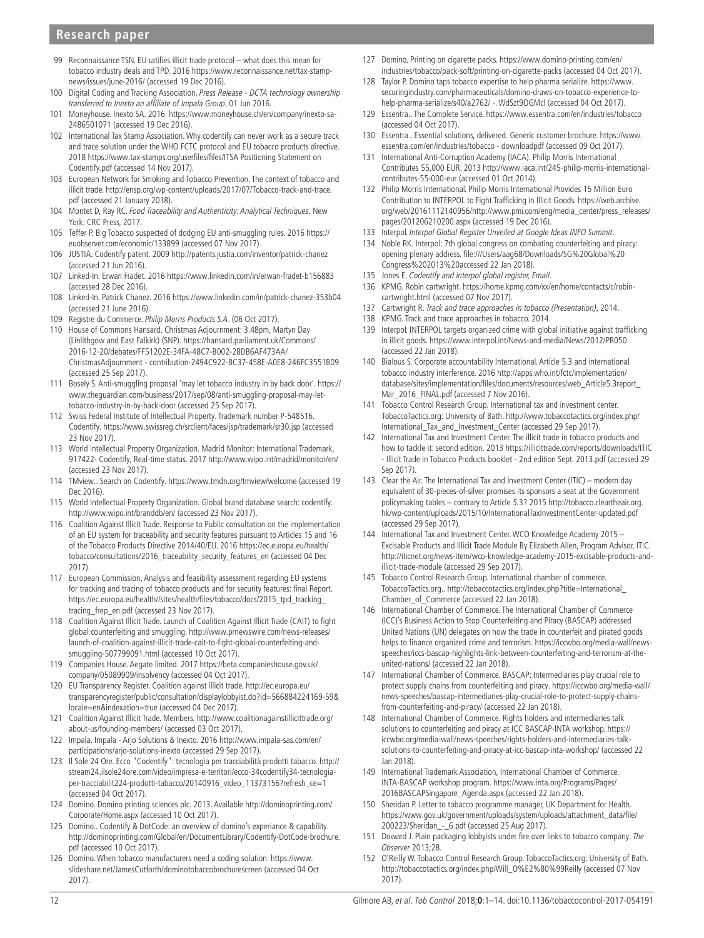- <span id="page-11-7"></span>99 Reconnaissance TSN. EU ratifies illicit trade protocol – what does this mean for tobacco industry deals and TPD. 2016 [https://www.reconnaissance.net/tax-stamp](https://www.reconnaissance.net/tax-stamp-news/issues/june-2016/)[news/issues/june-2016/](https://www.reconnaissance.net/tax-stamp-news/issues/june-2016/) (accessed 19 Dec 2016).
- <span id="page-11-8"></span>100 Digital Coding and Tracking Association. Press Release - DCTA technology ownership transferred to Inexto an affiliate of Impala Group. 01 Jun 2016.
- <span id="page-11-5"></span>101 Moneyhouse. Inexto SA. 2016. [https://www.moneyhouse.ch/en/company/inexto-sa-](https://www.moneyhouse.ch/en/company/inexto-sa-2486501071)[2486501071](https://www.moneyhouse.ch/en/company/inexto-sa-2486501071) (accessed 19 Dec 2016).
- <span id="page-11-9"></span>102 International Tax Stamp Association. Why codentify can never work as a secure track and trace solution under the WHO FCTC protocol and EU tobacco products directive. 2018 [https://www.tax-stamps.org/userfiles/files/ITSA Positioning Statement on](https://www.tax-stamps.org/userfiles/files/ITSA Positioning Statement on Codentify.pdf)  [Codentify.pdf](https://www.tax-stamps.org/userfiles/files/ITSA Positioning Statement on Codentify.pdf) (accessed 14 Nov 2017).
- 103 European Network for Smoking and Tobacco Prevention. The context of tobacco and illicit trade. [http://ensp.org/wp-content/uploads/2017/07/Tobacco-track-and-trace.](http://ensp.org/wp-content/uploads/2017/07/Tobacco-track-and-trace.pdf) [pdf](http://ensp.org/wp-content/uploads/2017/07/Tobacco-track-and-trace.pdf) (accessed 21 January 2018).
- 104 Montet D, Ray RC. Food Traceability and Authenticity: Analytical Techniques. New York: CRC Press, 2017.
- <span id="page-11-10"></span>105 Teffer P. Big Tobacco suspected of dodging EU anti-smuggling rules. 2016 [https://](https://euobserver.com/economic/133899) [euobserver.com/economic/133899](https://euobserver.com/economic/133899) (accessed 07 Nov 2017).
- 106 JUSTIA. Codentify patent. 2009<http://patents.justia.com/inventor/patrick-chanez> (accessed 21 Jun 2016).
- <span id="page-11-11"></span>107 Linked-In. Erwan Fradet. 2016<https://www.linkedin.com/in/erwan-fradet-b156883> (accessed 28 Dec 2016).
- <span id="page-11-12"></span>108 Linked-In. Patrick Chanez. 2016<https://www.linkedin.com/in/patrick-chanez-353b04> (accessed 21 June 2016).
- <span id="page-11-13"></span>109 Registre du Commerce. Philip Morris Products S.A. (06 Oct 2017).
- 110 House of Commons Hansard. Christmas Adjournment: 3.48pm, Martyn Day (Linlithgow and East Falkirk) (SNP). [https://hansard.parliament.uk/Commons/](https://hansard.parliament.uk/Commons/2016-12-20/debates/FF51202E-34FA-48C7-B002-28DB6AF473AA/ChristmasAdjournment - contribution-2494C922-BC37-458E-A0E8-246FC3551B09) [2016-12-20/debates/FF51202E-34FA-48C7-B002-28DB6AF473AA/](https://hansard.parliament.uk/Commons/2016-12-20/debates/FF51202E-34FA-48C7-B002-28DB6AF473AA/ChristmasAdjournment - contribution-2494C922-BC37-458E-A0E8-246FC3551B09) [ChristmasAdjournment - contribution-2494C922-BC37-458E-A0E8-246FC3551B09](https://hansard.parliament.uk/Commons/2016-12-20/debates/FF51202E-34FA-48C7-B002-28DB6AF473AA/ChristmasAdjournment - contribution-2494C922-BC37-458E-A0E8-246FC3551B09)  (accessed 25 Sep 2017).
- 111 Bosely S. Anti-smuggling proposal 'may let tobacco industry in by back door'. [https://](https://www.theguardian.com/business/2017/sep/08/anti-smuggling-proposal-may-let-tobacco-industry-in-by-back-door) [www.theguardian.com/business/2017/sep/08/anti-smuggling-proposal-may-let](https://www.theguardian.com/business/2017/sep/08/anti-smuggling-proposal-may-let-tobacco-industry-in-by-back-door)[tobacco-industry-in-by-back-door](https://www.theguardian.com/business/2017/sep/08/anti-smuggling-proposal-may-let-tobacco-industry-in-by-back-door) (accessed 25 Sep 2017).
- <span id="page-11-6"></span>112 Swiss Federal Institute of Intellectual Property. Trademark number P-548516. Codentify. <https://www.swissreg.ch/srclient/faces/jsp/trademark/sr30.jsp> (accessed 23 Nov 2017).
- 113 World intellectual Property Organization. Madrid Monitor: International Trademark, 917422- Codentify, Real-time status. 2017<http://www.wipo.int/madrid/monitor/en/> (accessed 23 Nov 2017).
- 114 TMview.. Search on Codentify.<https://www.tmdn.org/tmview/welcome> (accessed 19 Dec 2016)
- <span id="page-11-14"></span>115 World Intellectual Property Organization. Global brand database search: codentify. <http://www.wipo.int/branddb/en/> (accessed 23 Nov 2017).
- <span id="page-11-15"></span>116 Coalition Against Illicit Trade. Response to Public consultation on the implementation of an EU system for traceability and security features pursuant to Articles 15 and 16 of the Tobacco Products Directive 2014/40/EU. 2016 [https://ec.europa.eu/health/](https://ec.europa.eu/health/tobacco/consultations/2016_traceability_security_features_en) [tobacco/consultations/2016\\_traceability\\_security\\_features\\_en](https://ec.europa.eu/health/tobacco/consultations/2016_traceability_security_features_en) (accessed 04 Dec 2017).
- <span id="page-11-3"></span>117 European Commission. Analysis and feasibility assessment regarding EU systems for tracking and tracing of tobacco products and for security features: final Report. [https://ec.europa.eu/health//sites/health/files/tobacco/docs/2015\\_tpd\\_tracking\\_](https://ec.europa.eu/health//sites/health/files/tobacco/docs/2015_tpd_tracking_tracing_frep_en.pdf) [tracing\\_frep\\_en.pdf](https://ec.europa.eu/health//sites/health/files/tobacco/docs/2015_tpd_tracking_tracing_frep_en.pdf) (accessed 23 Nov 2017).
- <span id="page-11-4"></span>118 Coalition Against Illicit Trade. Launch of Coalition Against Illicit Trade (CAIT) to fight global counterfeiting and smuggling. [http://www.prnewswire.com/news-releases/](http://www.prnewswire.com/news-releases/launch-of-coalition-against-illicit-trade-cait-to-fight-global-counterfeiting-and-smuggling-507799091.html) [launch-of-coalition-against-illicit-trade-cait-to-fight-global-counterfeiting-and](http://www.prnewswire.com/news-releases/launch-of-coalition-against-illicit-trade-cait-to-fight-global-counterfeiting-and-smuggling-507799091.html)[smuggling-507799091.html](http://www.prnewswire.com/news-releases/launch-of-coalition-against-illicit-trade-cait-to-fight-global-counterfeiting-and-smuggling-507799091.html) (accessed 10 Oct 2017).
- <span id="page-11-16"></span>119 Companies House. Aegate limited. 2017 [https://beta.companieshouse.gov.uk/](https://beta.companieshouse.gov.uk/company/05089909/insolvency) [company/05089909/insolvency](https://beta.companieshouse.gov.uk/company/05089909/insolvency) (accessed 04 Oct 2017).
- <span id="page-11-17"></span>120 EU Transparency Register. Coalition against illicit trade. [http://ec.europa.eu/](http://ec.europa.eu/transparencyregister/public/consultation/displaylobbyist.do?id=566884224169-59&locale=en&indexation=true) [transparencyregister/public/consultation/displaylobbyist.do?id=566884224169-59&](http://ec.europa.eu/transparencyregister/public/consultation/displaylobbyist.do?id=566884224169-59&locale=en&indexation=true) [locale=en&indexation=true](http://ec.europa.eu/transparencyregister/public/consultation/displaylobbyist.do?id=566884224169-59&locale=en&indexation=true) (accessed 04 Dec 2017).
- <span id="page-11-18"></span>121 Coalition Against Illicit Trade. Members. [http://www.coalitionagainstillicittrade.org/](http://www.coalitionagainstillicittrade.org/about-us/founding-members/) [about-us/founding-members/](http://www.coalitionagainstillicittrade.org/about-us/founding-members/) (accessed 03 Oct 2017).
- 122 Impala. Impala Arjo Solutions & Inexto. 2016 [http://www.impala-sas.com/en/](http://www.impala-sas.com/en/participations/arjo-solutions-inexto) [participations/arjo-solutions-inexto](http://www.impala-sas.com/en/participations/arjo-solutions-inexto) (accessed 29 Sep 2017).
- <span id="page-11-19"></span>123 Il Sole 24 Ore. Ecco "Codentify": tecnologia per tracciabilità prodotti tabacco. [http://](http://stream24.ilsole24ore.com/video/impresa-e-territori/ecco-34codentify34-tecnologia-per-tracciabilit224-prodotti-tabacco/20140916_video_11373156?refresh_ce=1) [stream24.ilsole24ore.com/video/impresa-e-territori/ecco-34codentify34-tecnologia](http://stream24.ilsole24ore.com/video/impresa-e-territori/ecco-34codentify34-tecnologia-per-tracciabilit224-prodotti-tabacco/20140916_video_11373156?refresh_ce=1)[per-tracciabilit224-prodotti-tabacco/20140916\\_video\\_11373156?refresh\\_ce=1](http://stream24.ilsole24ore.com/video/impresa-e-territori/ecco-34codentify34-tecnologia-per-tracciabilit224-prodotti-tabacco/20140916_video_11373156?refresh_ce=1) (accessed 04 Oct 2017).
- <span id="page-11-20"></span>124 Domino. Domino printing sciences plc. 2013. Available [http://dominoprinting.com/](http://dominoprinting.com/Corporate/Home.aspx) [Corporate/Home.aspx](http://dominoprinting.com/Corporate/Home.aspx) (accessed 10 Oct 2017).
- <span id="page-11-21"></span>125 Domino.. Codentify & DotCode: an overview of domino's experiance & capability. [http://dominoprinting.com/Global/en/DocumentLibrary/Codentify-DotCode-brochure.](http://dominoprinting.com/Global/en/DocumentLibrary/Codentify-DotCode-brochure.pdf) [pdf](http://dominoprinting.com/Global/en/DocumentLibrary/Codentify-DotCode-brochure.pdf) (accessed 10 Oct 2017).
- <span id="page-11-22"></span>126 Domino. When tobacco manufacturers need a coding solution. [https://www.](https://www.slideshare.net/JamesCutforth/dominotobaccobrochurescreen) [slideshare.net/JamesCutforth/dominotobaccobrochurescreen](https://www.slideshare.net/JamesCutforth/dominotobaccobrochurescreen) (accessed 04 Oct 2017).
- <span id="page-11-23"></span>127 Domino. Printing on cigarette packs. [https://www.domino-printing.com/en/](https://www.domino-printing.com/en/industries/tobacco/pack-soft/printing-on-cigarette-packs) [industries/tobacco/pack-soft/printing-on-cigarette-packs](https://www.domino-printing.com/en/industries/tobacco/pack-soft/printing-on-cigarette-packs) (accessed 04 Oct 2017).
- <span id="page-11-24"></span>128 Taylor P. Domino taps tobacco expertise to help pharma serialize. [https://www.](https://www.securingindustry.com/pharmaceuticals/domino-draws-on-tobacco-experience-to-help-pharma-serialize/s40/a2762/ -. WdSzt9OGMcl) [securingindustry.com/pharmaceuticals/domino-draws-on-tobacco-experience-to](https://www.securingindustry.com/pharmaceuticals/domino-draws-on-tobacco-experience-to-help-pharma-serialize/s40/a2762/ -. WdSzt9OGMcl)[help-pharma-serialize/s40/a2762/ -. WdSzt9OGMcl](https://www.securingindustry.com/pharmaceuticals/domino-draws-on-tobacco-experience-to-help-pharma-serialize/s40/a2762/ -. WdSzt9OGMcl) (accessed 04 Oct 2017).
- <span id="page-11-25"></span>129 Essentra.. The Complete Service. <https://www.essentra.com/en/industries/tobacco> (accessed 04 Oct 2017).
- 130 Essentra.. Essential solutions, delivered. Generic customer brochure. [https://www.](https://www.essentra.com/en/industries/tobacco  downloadpdf) [essentra.com/en/industries/tobacco - downloadpdf](https://www.essentra.com/en/industries/tobacco - downloadpdf) (accessed 09 Oct 2017).
- <span id="page-11-1"></span>131 International Anti-Corruption Academy (IACA). Philip Morris International Contributes 55,000 EUR. 2013 [http://www.iaca.int/245-philip-morris-international](http://www.iaca.int/245-philip-morris-international-contributes-55-000-eur)[contributes-55-000-eur](http://www.iaca.int/245-philip-morris-international-contributes-55-000-eur) (accessed 01 Oct 2014).
- <span id="page-11-0"></span>132 Philip Morris International. Philip Morris International Provides 15 Million Euro Contribution to INTERPOL to Fight Trafficking in Illicit Goods. [https://web.archive.](https://web.archive.org/web/20161112140956/http://www.pmi.com/eng/media_center/press_releases/pages/201206210200.aspx) [org/web/20161112140956/http://www.pmi.com/eng/media\\_center/press\\_releases/](https://web.archive.org/web/20161112140956/http://www.pmi.com/eng/media_center/press_releases/pages/201206210200.aspx) [pages/201206210200.aspx](https://web.archive.org/web/20161112140956/http://www.pmi.com/eng/media_center/press_releases/pages/201206210200.aspx) (accessed 19 Dec 2016).
- 133 Interpol. Interpol Global Register Unveiled at Google Ideas INFO Summit.
- <span id="page-11-26"></span>134 Noble RK. Interpol: 7th global congress on combating counterfeiting and piracy: opening plenary address. [file:///Users/aag68/Downloads/SG%20Global%20](file:///Users/aag68/Downloads/SG%20Global%20Congress%202013%20) [Congress%202013%20a](file:///Users/aag68/Downloads/SG%20Global%20Congress%202013%20)ccessed 22 Jan 2018).
- <span id="page-11-27"></span>135 Jones E. Codentify and interpol global register, Email.
- 136 KPMG. Robin cartwright. [https://home.kpmg.com/xx/en/home/contacts/c/robin](https://home.kpmg.com/xx/en/home/contacts/c/robin-cartwright.html)[cartwright.html](https://home.kpmg.com/xx/en/home/contacts/c/robin-cartwright.html) (accessed 07 Nov 2017).
- <span id="page-11-28"></span>137 Cartwright R. Track and trace approaches in tobacco (Presentation), 2014.
- <span id="page-11-2"></span>138 KPMG. Track and trace approaches in tobacco. 2014.
- <span id="page-11-29"></span>139 Interpol. INTERPOL targets organized crime with global initiative against trafficking in illicit goods. <https://www.interpol.int/News-and-media/News/2012/PR050> (accessed 22 Jan 2018).
- <span id="page-11-30"></span>140 Bialous S. Corporate accountability International. Article 5.3 and international tobacco industry interference. 2016 [http://apps.who.int/fctc/implementation/](http://apps.who.int/fctc/implementation/database/sites/implementation/files/documents/resources/web_Article5.3report_Mar_2016_FINAL.pdf) [database/sites/implementation/files/documents/resources/web\\_Article5.3report\\_](http://apps.who.int/fctc/implementation/database/sites/implementation/files/documents/resources/web_Article5.3report_Mar_2016_FINAL.pdf) [Mar\\_2016\\_FINAL.pdf](http://apps.who.int/fctc/implementation/database/sites/implementation/files/documents/resources/web_Article5.3report_Mar_2016_FINAL.pdf) (accessed 7 Nov 2016).
- 141 Tobacco Control Research Group. International tax and investment center. TobaccoTactics.org: University of Bath. [http://www.tobaccotactics.org/index.php/](http://www.tobaccotactics.org/index.php/International_Tax_and_Investment_Center) [International\\_Tax\\_and\\_Investment\\_Center](http://www.tobaccotactics.org/index.php/International_Tax_and_Investment_Center) (accessed 29 Sep 2017).
- <span id="page-11-31"></span>142 International Tax and Investment Center. The illicit trade in tobacco products and how to tackle it: second edition. 2013 [https://illicittrade.com/reports/downloads/ITIC](https://illicittrade.com/reports/downloads/ITIC - Illicit Trade in Tobacco Products booklet - 2nd edition Sept. 2013.pdf)  [- Illicit Trade in Tobacco Products booklet - 2nd edition Sept. 2013.pdf](https://illicittrade.com/reports/downloads/ITIC - Illicit Trade in Tobacco Products booklet - 2nd edition Sept. 2013.pdf) (accessed 29 Sep 2017).
- 143 Clear the Air. The International Tax and Investment Center (ITIC) modern day equivalent of 30-pieces-of-silver promises its sponsors a seat at the Government policymaking tables – contrary to Article 5.3? 2015 [http://tobacco.cleartheair.org.](http://tobacco.cleartheair.org.hk/wp-content/uploads/2015/10/InternationalTaxInvestmentCenter-updated.pdf) [hk/wp-content/uploads/2015/10/InternationalTaxInvestmentCenter-updated.pdf](http://tobacco.cleartheair.org.hk/wp-content/uploads/2015/10/InternationalTaxInvestmentCenter-updated.pdf) (accessed 29 Sep 2017).
- 144 International Tax and Investment Center. WCO Knowledge Academy 2015 Excisable Products and Illicit Trade Module By Elizabeth Allen, Program Advisor, ITIC. [http://iticnet.org/news-item/wco-knowledge-academy-2015-excisable-products-and](http://iticnet.org/news-item/wco-knowledge-academy-2015-excisable-products-and-illicit-trade-module)[illicit-trade-module](http://iticnet.org/news-item/wco-knowledge-academy-2015-excisable-products-and-illicit-trade-module) (accessed 29 Sep 2017).
- 145 Tobacco Control Research Group. International chamber of commerce. TobaccoTactics.org.. [http://tobaccotactics.org/index.php?title=International\\_](http://tobaccotactics.org/index.php?title=International_Chamber_of_Commerce) [Chamber\\_of\\_Commerce](http://tobaccotactics.org/index.php?title=International_Chamber_of_Commerce) (accessed 22 Jan 2018).
- 146 International Chamber of Commerce. The International Chamber of Commerce (ICC)'s Business Action to Stop Counterfeiting and Piracy (BASCAP) addressed United Nations (UN) delegates on how the trade in counterfeit and pirated goods helps to finance organized crime and terrorism. [https://iccwbo.org/media-wall/news](https://iccwbo.org/media-wall/news-speeches/iccs-bascap-highlights-link-between-counterfeiting-and-terrorism-at-the-united-nations/)[speeches/iccs-bascap-highlights-link-between-counterfeiting-and-terrorism-at-the](https://iccwbo.org/media-wall/news-speeches/iccs-bascap-highlights-link-between-counterfeiting-and-terrorism-at-the-united-nations/)[united-nations/](https://iccwbo.org/media-wall/news-speeches/iccs-bascap-highlights-link-between-counterfeiting-and-terrorism-at-the-united-nations/) (accessed 22 Jan 2018).
- 147 International Chamber of Commerce. BASCAP: Intermediaries play crucial role to protect supply chains from counterfeiting and piracy. [https://iccwbo.org/media-wall/](https://iccwbo.org/media-wall/news-speeches/bascap-intermediaries-play-crucial-role-to-protect-supply-chains-from-counterfeiting-and-piracy/) [news-speeches/bascap-intermediaries-play-crucial-role-to-protect-supply-chains](https://iccwbo.org/media-wall/news-speeches/bascap-intermediaries-play-crucial-role-to-protect-supply-chains-from-counterfeiting-and-piracy/)[from-counterfeiting-and-piracy/](https://iccwbo.org/media-wall/news-speeches/bascap-intermediaries-play-crucial-role-to-protect-supply-chains-from-counterfeiting-and-piracy/) (accessed 22 Jan 2018).
- 148 International Chamber of Commerce. Rights holders and intermediaries talk solutions to counterfeiting and piracy at ICC BASCAP-INTA workshop. [https://](https://iccwbo.org/media-wall/news-speeches/rights-holders-and-intermediaries-talk-solutions-to-counterfeiting-and-piracy-at-icc-bascap-inta-workshop/) [iccwbo.org/media-wall/news-speeches/rights-holders-and-intermediaries-talk](https://iccwbo.org/media-wall/news-speeches/rights-holders-and-intermediaries-talk-solutions-to-counterfeiting-and-piracy-at-icc-bascap-inta-workshop/)[solutions-to-counterfeiting-and-piracy-at-icc-bascap-inta-workshop/](https://iccwbo.org/media-wall/news-speeches/rights-holders-and-intermediaries-talk-solutions-to-counterfeiting-and-piracy-at-icc-bascap-inta-workshop/) (accessed 22 Jan 2018).
- 149 International Trademark Association, International Chamber of Commerce. INTA-BASCAP workshop program. [https://www.inta.org/Programs/Pages/](https://www.inta.org/Programs/Pages/2016BASCAPSingapore_Agenda.aspx) [2016BASCAPSingapore\\_Agenda.aspx](https://www.inta.org/Programs/Pages/2016BASCAPSingapore_Agenda.aspx) (accessed 22 Jan 2018).
- <span id="page-11-32"></span>150 Sheridan P. Letter to tobacco programme manager, UK Department for Health. [https://www.gov.uk/government/uploads/system/uploads/attachment\\_data/file/](https://www.gov.uk/government/uploads/system/uploads/attachment_data/file/200223/Sheridan_-_6.pdf) [200223/Sheridan\\_-\\_6.pdf](https://www.gov.uk/government/uploads/system/uploads/attachment_data/file/200223/Sheridan_-_6.pdf) (accessed 25 Aug 2017).
- 151 Doward J. Plain packaging lobbyists under fire over links to tobacco company. The Observer 2013;28.
- 152 O'Reilly W. Tobacco Control Research Group. TobaccoTactics.org: University of Bath. [http://tobaccotactics.org/index.php/Will\\_O%E2%80%99Reilly](http://tobaccotactics.org/index.php/Will_O%E2%80%99Reilly) (accessed 07 Nov 2017).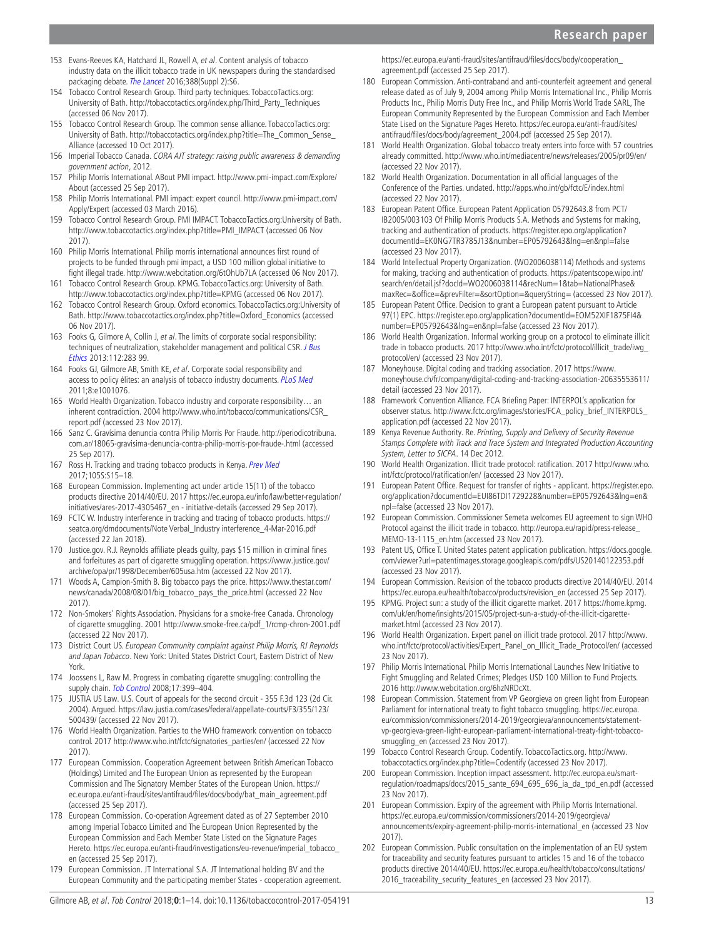- 153 Evans-Reeves KA, Hatchard JL, Rowell A, et al. Content analysis of tobacco industry data on the illicit tobacco trade in UK newspapers during the standardised packaging debate. [The Lancet](http://dx.doi.org/10.1016/S0140-6736(16)32242-5) 2016:388(Suppl 2):S6.
- 154 Tobacco Control Research Group. Third party techniques. TobaccoTactics.org: University of Bath. [http://tobaccotactics.org/index.php/Third\\_Party\\_Techniques](http://tobaccotactics.org/index.php/Third_Party_Techniques)  (accessed 06 Nov 2017).
- 155 Tobacco Control Research Group. The common sense alliance. TobaccoTactics.org: University of Bath. [http://tobaccotactics.org/index.php?title=The\\_Common\\_Sense\\_](http://tobaccotactics.org/index.php?title=The_Common_Sense_Alliance) [Alliance](http://tobaccotactics.org/index.php?title=The_Common_Sense_Alliance) (accessed 10 Oct 2017).
- <span id="page-12-34"></span>156 Imperial Tobacco Canada. CORA AIT strategy: raising public awareness & demanding government action, 2012.
- <span id="page-12-35"></span>157 Philip Morris International. ABout PMI impact. [http://www.pmi-impact.com/Explore/](http://www.pmi-impact.com/Explore/About) [About](http://www.pmi-impact.com/Explore/About) (accessed 25 Sep 2017).
- <span id="page-12-36"></span>158 Philip Morris International. PMI impact: expert council. [http://www.pmi-impact.com/](http://www.pmi-impact.com/Apply/Expert) [Apply/Expert](http://www.pmi-impact.com/Apply/Expert) (accessed 03 March 2016).
- <span id="page-12-32"></span>159 Tobacco Control Research Group. PMI IMPACT. TobaccoTactics.org:University of Bath. [http://www.tobaccotactics.org/index.php?title=PMI\\_IMPACT](http://www.tobaccotactics.org/index.php?title=PMI_IMPACT) (accessed 06 Nov 2017).
- <span id="page-12-27"></span>160 Philip Morris International. Philip morris international announces first round of projects to be funded through pmi impact, a USD 100 million global initiative to fight illegal trade.<http://www.webcitation.org/6tOhUb7LA> (accessed 06 Nov 2017).
- 161 Tobacco Control Research Group. KPMG. TobaccoTactics.org: University of Bath. <http://www.tobaccotactics.org/index.php?title=KPMG>(accessed 06 Nov 2017).
- 162 Tobacco Control Research Group. Oxford economics. TobaccoTactics.org:University of Bath. [http://www.tobaccotactics.org/index.php?title=Oxford\\_Economics](http://www.tobaccotactics.org/index.php?title=Oxford_Economics) (accessed 06 Nov 2017).
- <span id="page-12-37"></span>163 Fooks G, Gilmore A, Collin J, et al. The limits of corporate social responsibility: techniques of neutralization, stakeholder management and political CSR. J Bus [Ethics](http://dx.doi.org/10.1007/s10551-012-1250-5) 2013:112:283 99.
- 164 Fooks GJ, Gilmore AB, Smith KE, et al. Corporate social responsibility and access to policy élites: an analysis of tobacco industry documents. [PLoS Med](http://dx.doi.org/10.1371/journal.pmed.1001076) 2011;8:e1001076.
- 165 World Health Organization. Tobacco industry and corporate responsibility… an inherent contradiction. 2004 [http://www.who.int/tobacco/communications/CSR\\_](http://www.who.int/tobacco/communications/CSR_report.pdf) [report.pdf](http://www.who.int/tobacco/communications/CSR_report.pdf) (accessed 23 Nov 2017).
- <span id="page-12-38"></span>166 Sanz C. Gravísima denuncia contra Philip Morris Por Fraude. [http://periodicotribuna.](http://periodicotribuna.com.ar/18065-gravisima-denuncia-contra-philip-morris-por-fraude-.html) [com.ar/18065-gravisima-denuncia-contra-philip-morris-por-fraude-.html](http://periodicotribuna.com.ar/18065-gravisima-denuncia-contra-philip-morris-por-fraude-.html) (accessed 25 Sep 2017).
- <span id="page-12-33"></span>167 Ross H. Tracking and tracing tobacco products in Kenya. [Prev Med](http://dx.doi.org/10.1016/j.ypmed.2017.04.025) 2017;105S:S15–18.
- <span id="page-12-31"></span>168 European Commission. Implementing act under article 15(11) of the tobacco products directive 2014/40/EU. 2017 [https://ec.europa.eu/info/law/better-regulation/](https://ec.europa.eu/info/law/better-regulation/initiatives/ares-2017-4305467_en - initiative-details) [initiatives/ares-2017-4305467\\_en - initiative-details](https://ec.europa.eu/info/law/better-regulation/initiatives/ares-2017-4305467_en - initiative-details) (accessed 29 Sep 2017).
- <span id="page-12-39"></span>169 FCTC W. Industry interference in tracking and tracing of tobacco products. [https://](https://seatca.org/dmdocuments/Note Verbal_Industry interference_4-Mar-2016.pdf) [seatca.org/dmdocuments/Note Verbal\\_Industry interference\\_4-Mar-2016.pdf](https://seatca.org/dmdocuments/Note Verbal_Industry interference_4-Mar-2016.pdf) (accessed 22 Jan 2018).
- <span id="page-12-0"></span>170 Justice.gov. R.J. Reynolds affiliate pleads guilty, pays \$15 million in criminal fines and forfeitures as part of cigarette smuggling operation. [https://www.justice.gov/](https://www.justice.gov/archive/opa/pr/1998/December/605usa.htm) [archive/opa/pr/1998/December/605usa.htm](https://www.justice.gov/archive/opa/pr/1998/December/605usa.htm) (accessed 22 Nov 2017).
- <span id="page-12-1"></span>Woods A, Campion-Smith B. Big tobacco pays the price. [https://www.thestar.com/](https://www.thestar.com/news/canada/2008/08/01/big_tobacco_pays_the_price.html) [news/canada/2008/08/01/big\\_tobacco\\_pays\\_the\\_price.html](https://www.thestar.com/news/canada/2008/08/01/big_tobacco_pays_the_price.html) (accessed 22 Nov 2017).
- <span id="page-12-2"></span>172 Non-Smokers' Rights Association. Physicians for a smoke-free Canada. Chronology of cigarette smuggling. 2001 [http://www.smoke-free.ca/pdf\\_1/rcmp-chron-2001.pdf](http://www.smoke-free.ca/pdf_1/rcmp-chron-2001.pdf)  (accessed 22 Nov 2017).
- 173 District Court US. European Community complaint against Philip Morris, RJ Reynolds and Japan Tobacco. New York: United States District Court, Eastern District of New York.
- <span id="page-12-3"></span>174 Joossens L, Raw M. Progress in combating cigarette smuggling: controlling the supply chain. [Tob Control](http://dx.doi.org/10.1136/tc.2008.026567) 2008;17:399-404.
- <span id="page-12-4"></span>175 JUSTIA US Law. U.S. Court of appeals for the second circuit - 355 F.3d 123 (2d Cir. 2004). Argued. [https://law.justia.com/cases/federal/appellate-courts/F3/355/123/](https://law.justia.com/cases/federal/appellate-courts/F3/355/123/500439/) [500439/](https://law.justia.com/cases/federal/appellate-courts/F3/355/123/500439/) (accessed 22 Nov 2017).
- <span id="page-12-5"></span>World Health Organization. Parties to the WHO framework convention on tobacco control. 2017 [http://www.who.int/fctc/signatories\\_parties/en/](http://www.who.int/fctc/signatories_parties/en/) (accessed 22 Nov 2017).
- <span id="page-12-6"></span>177 European Commission. Cooperation Agreement between British American Tobacco (Holdings) Limited and The European Union as represented by the European Commission and The Signatory Member States of the European Union. [https://](https://ec.europa.eu/anti-fraud/sites/antifraud/files/docs/body/bat_main_agreement.pdf) [ec.europa.eu/anti-fraud/sites/antifraud/files/docs/body/bat\\_main\\_agreement.pdf](https://ec.europa.eu/anti-fraud/sites/antifraud/files/docs/body/bat_main_agreement.pdf)  (accessed 25 Sep 2017).
- <span id="page-12-13"></span>178 European Commission. Co-operation Agreement dated as of 27 September 2010 among Imperial Tobacco Limited and The European Union Represented by the European Commission and Each Member State Listed on the Signature Pages Hereto. [https://ec.europa.eu/anti-fraud/investigations/eu-revenue/imperial\\_tobacco\\_](https://ec.europa.eu/anti-fraud/investigations/eu-revenue/imperial_tobacco_en) [en](https://ec.europa.eu/anti-fraud/investigations/eu-revenue/imperial_tobacco_en) (accessed 25 Sep 2017).
- <span id="page-12-10"></span>179 European Commission. JT International S.A. JT International holding BV and the European Community and the participating member States - cooperation agreement.

[https://ec.europa.eu/anti-fraud/sites/antifraud/files/docs/body/cooperation\\_](https://ec.europa.eu/anti-fraud/sites/antifraud/files/docs/body/cooperation_agreement.pdf) agreement pdf (accessed 25 Sep 2017).

- 180 European Commission. Anti-contraband and anti-counterfeit agreement and general release dated as of July 9, 2004 among Philip Morris International Inc., Philip Morris Products Inc., Philip Morris Duty Free Inc., and Philip Morris World Trade SARL, The European Community Represented by the European Commission and Each Member State Lised on the Signature Pages Hereto. [https://ec.europa.eu/anti-fraud/sites/](https://ec.europa.eu/anti-fraud/sites/antifraud/files/docs/body/agreement_2004.pdf) [antifraud/files/docs/body/agreement\\_2004.pdf](https://ec.europa.eu/anti-fraud/sites/antifraud/files/docs/body/agreement_2004.pdf) (accessed 25 Sep 2017).
- <span id="page-12-7"></span>181 World Health Organization. Global tobacco treaty enters into force with 57 countries already committed. <http://www.who.int/mediacentre/news/releases/2005/pr09/en/> (accessed 22 Nov 2017).
- <span id="page-12-8"></span>182 World Health Organization. Documentation in all official languages of the Conference of the Parties. undated.<http://apps.who.int/gb/fctc/E/index.html> (accessed 22 Nov 2017).
- <span id="page-12-9"></span>183 European Patent Office. European Patent Application 05792643.8 from PCT/ IB2005/003103 Of Philip Morris Products S.A. Methods and Systems for making, tracking and authentication of products. [https://register.epo.org/application?](https://register.epo.org/application?documentId=EK0NG7TR3785J13&number=EP05792643&lng=en&npl=false) [documentId=EK0NG7TR3785J13&number=EP05792643&lng=en&npl=false](https://register.epo.org/application?documentId=EK0NG7TR3785J13&number=EP05792643&lng=en&npl=false)  (accessed 23 Nov 2017).
- <span id="page-12-11"></span>184 World Intellectual Property Organization. (WO2006038114) Methods and systems for making, tracking and authentication of products. [https://patentscope.wipo.int/](https://patentscope.wipo.int/search/en/detail.jsf?docId=WO2006038114&recNum=1&tab=NationalPhase&maxRec=&office=&prevFilter=&sortOption=&queryString=) [search/en/detail.jsf?docId=WO2006038114&recNum=1&tab=NationalPhase&](https://patentscope.wipo.int/search/en/detail.jsf?docId=WO2006038114&recNum=1&tab=NationalPhase&maxRec=&office=&prevFilter=&sortOption=&queryString=) [maxRec=&office=&prevFilter=&sortOption=&queryString=](https://patentscope.wipo.int/search/en/detail.jsf?docId=WO2006038114&recNum=1&tab=NationalPhase&maxRec=&office=&prevFilter=&sortOption=&queryString=) (accessed 23 Nov 2017).
- <span id="page-12-12"></span>185 European Patent Office. Decision to grant a European patent pursuant to Article 97(1) EPC. [https://register.epo.org/application?documentId=EOM52XIF1875FI4&](https://register.epo.org/application?documentId=EOM52XIF1875FI4&number=EP05792643&lng=en&npl=false) [number=EP05792643&lng=en&npl=false](https://register.epo.org/application?documentId=EOM52XIF1875FI4&number=EP05792643&lng=en&npl=false) (accessed 23 Nov 2017).
- <span id="page-12-14"></span>186 World Health Organization. Informal working group on a protocol to eliminate illicit trade in tobacco products. 2017 [http://www.who.int/fctc/protocol/illicit\\_trade/iwg\\_](http://www.who.int/fctc/protocol/illicit_trade/iwg_protocol/en/) [protocol/en/](http://www.who.int/fctc/protocol/illicit_trade/iwg_protocol/en/) (accessed 23 Nov 2017).
- <span id="page-12-15"></span>Moneyhouse. Digital coding and tracking association. 2017 [https://www.](https://www.moneyhouse.ch/fr/company/digital-coding-and-tracking-association-20635553611/detail) [moneyhouse.ch/fr/company/digital-coding-and-tracking-association-20635553611/](https://www.moneyhouse.ch/fr/company/digital-coding-and-tracking-association-20635553611/detail) [detail](https://www.moneyhouse.ch/fr/company/digital-coding-and-tracking-association-20635553611/detail) (accessed 23 Nov 2017).
- 188 Framework Convention Alliance. FCA Briefing Paper: INTERPOL's application for observer status. [http://www.fctc.org/images/stories/FCA\\_policy\\_brief\\_INTERPOLS\\_](http://www.fctc.org/images/stories/FCA_policy_brief_INTERPOLS_application.pdf) [application.pdf](http://www.fctc.org/images/stories/FCA_policy_brief_INTERPOLS_application.pdf) (accessed 22 Nov 2017).
- <span id="page-12-16"></span>189 Kenya Revenue Authority. Re. Printing, Supply and Delivery of Security Revenue Stamps Complete with Track and Trace System and Integrated Production Accounting System, Letter to SICPA. 14 Dec 2012.
- <span id="page-12-17"></span>190 World Health Organization. Illicit trade protocol: ratification. 2017 [http://www.who.](http://www.who.int/fctc/protocol/ratification/en/) [int/fctc/protocol/ratification/en/](http://www.who.int/fctc/protocol/ratification/en/) (accessed 23 Nov 2017).
- <span id="page-12-18"></span>191 European Patent Office. Request for transfer of rights - applicant. [https://register.epo.](https://register.epo.org/application?documentId=EUI86TDI1729228&number=EP05792643&lng=en&npl=false) [org/application?documentId=EUI86TDI1729228&number=EP05792643&lng=en&](https://register.epo.org/application?documentId=EUI86TDI1729228&number=EP05792643&lng=en&npl=false) [npl=false](https://register.epo.org/application?documentId=EUI86TDI1729228&number=EP05792643&lng=en&npl=false) (accessed 23 Nov 2017).
- <span id="page-12-19"></span>192 European Commission. Commissioner Semeta welcomes EU agreement to sign WHO Protocol against the illicit trade in tobacco. [http://europa.eu/rapid/press-release\\_](http://europa.eu/rapid/press-release_MEMO-13-1115_en.htm) [MEMO-13-1115\\_en.htm](http://europa.eu/rapid/press-release_MEMO-13-1115_en.htm) (accessed 23 Nov 2017).
- <span id="page-12-20"></span>193 Patent US, Office T. United States patent application publication. [https://docs.google.](https://docs.google.com/viewer?url=patentimages.storage.googleapis.com/pdfs/US20140122353.pdf) [com/viewer?url=patentimages.storage.googleapis.com/pdfs/US20140122353.pdf](https://docs.google.com/viewer?url=patentimages.storage.googleapis.com/pdfs/US20140122353.pdf)  (accessed 23 Nov 2017).
- <span id="page-12-21"></span>194 European Commission. Revision of the tobacco products directive 2014/40/EU. 2014 [https://ec.europa.eu/health/tobacco/products/revision\\_en](https://ec.europa.eu/health/tobacco/products/revision_en) (accessed 25 Sep 2017).
- <span id="page-12-22"></span>195 KPMG. Project sun: a study of the illicit cigarette market. 2017 [https://home.kpmg.](https://home.kpmg.com/uk/en/home/insights/2015/05/project-sun-a-study-of-the-illicit-cigarette-market.html) [com/uk/en/home/insights/2015/05/project-sun-a-study-of-the-illicit-cigarette](https://home.kpmg.com/uk/en/home/insights/2015/05/project-sun-a-study-of-the-illicit-cigarette-market.html)[market.html](https://home.kpmg.com/uk/en/home/insights/2015/05/project-sun-a-study-of-the-illicit-cigarette-market.html) (accessed 23 Nov 2017).
- <span id="page-12-23"></span>196 World Health Organization. Expert panel on illicit trade protocol. 2017 [http://www.](http://www.who.int/fctc/protocol/activities/Expert_Panel_on_Illicit_Trade_Protocol/en/) [who.int/fctc/protocol/activities/Expert\\_Panel\\_on\\_Illicit\\_Trade\\_Protocol/en/](http://www.who.int/fctc/protocol/activities/Expert_Panel_on_Illicit_Trade_Protocol/en/) (accessed 23 Nov 2017).
- <span id="page-12-24"></span>197 Philip Morris International. Philip Morris International Launches New Initiative to Fight Smuggling and Related Crimes; Pledges USD 100 Million to Fund Projects. 2016 [http://www.webcitation.org/6hzNRDcXt.](http://www.webcitation.org/6hzNRDcXt)
- <span id="page-12-25"></span>198 European Commission. Statement from VP Georgieva on green light from European Parliament for international treaty to fight tobacco smuggling. [https://ec.europa.](https://ec.europa.eu/commission/commissioners/2014-2019/georgieva/announcements/statement-vp-georgieva-green-light-european-parliament-international-treaty-fight-tobacco-smuggling_en) [eu/commission/commissioners/2014-2019/georgieva/announcements/statement](https://ec.europa.eu/commission/commissioners/2014-2019/georgieva/announcements/statement-vp-georgieva-green-light-european-parliament-international-treaty-fight-tobacco-smuggling_en)[vp-georgieva-green-light-european-parliament-international-treaty-fight-tobacco](https://ec.europa.eu/commission/commissioners/2014-2019/georgieva/announcements/statement-vp-georgieva-green-light-european-parliament-international-treaty-fight-tobacco-smuggling_en)smuggling en (accessed 23 Nov 2017).
- <span id="page-12-26"></span>199 Tobacco Control Research Group. Codentify. TobaccoTactics.org. [http://www.](http://www.tobaccotactics.org/index.php?title=Codentify) [tobaccotactics.org/index.php?title=Codentify](http://www.tobaccotactics.org/index.php?title=Codentify) (accessed 23 Nov 2017).
- <span id="page-12-28"></span>200 European Commission. Inception impact assessment. [http://ec.europa.eu/smart](http://ec.europa.eu/smart-regulation/roadmaps/docs/2015_sante_694_695_696_ia_da_tpd_en.pdf)[regulation/roadmaps/docs/2015\\_sante\\_694\\_695\\_696\\_ia\\_da\\_tpd\\_en.pdf](http://ec.europa.eu/smart-regulation/roadmaps/docs/2015_sante_694_695_696_ia_da_tpd_en.pdf) (accessed 23 Nov 2017).
- <span id="page-12-29"></span>201 European Commission. Expiry of the agreement with Philip Morris International. [https://ec.europa.eu/commission/commissioners/2014-2019/georgieva/](https://ec.europa.eu/commission/commissioners/2014-2019/georgieva/announcements/expiry-agreement-philip-morris-international_en) [announcements/expiry-agreement-philip-morris-international\\_en](https://ec.europa.eu/commission/commissioners/2014-2019/georgieva/announcements/expiry-agreement-philip-morris-international_en) (accessed 23 Nov 2017).
- <span id="page-12-30"></span>202 European Commission. Public consultation on the implementation of an EU system for traceability and security features pursuant to articles 15 and 16 of the tobacco products directive 2014/40/EU. [https://ec.europa.eu/health/tobacco/consultations/](https://ec.europa.eu/health/tobacco/consultations/2016_traceability_security_features_en) [2016\\_traceability\\_security\\_features\\_en](https://ec.europa.eu/health/tobacco/consultations/2016_traceability_security_features_en) (accessed 23 Nov 2017).